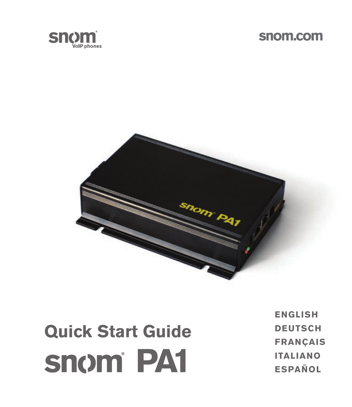### snom.com





# **Quick Start Guide snom PA1**

**ENGLISH DEUTSCH FRANÇAIS ITALIANO ESPAÑOL**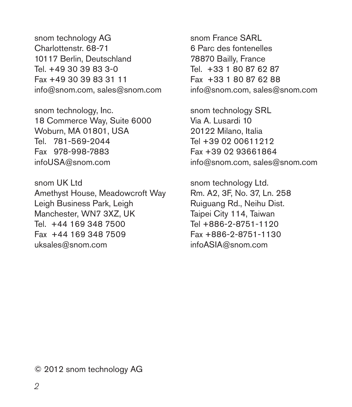snom technology AG Charlottenstr. 68-71 10117 Berlin, Deutschland Tel. +49 30 39 83 3-0 Fax +49 30 39 83 31 11 info@snom.com, sales@snom.com

snom technology, Inc. 18 Commerce Way, Suite 6000 Woburn, MA 01801, USA Tel. 781-569-2044 Fax 978-998-7883 infoUSA@snom.com

snom UK Ltd Amethyst House, Meadowcroft Way Leigh Business Park, Leigh Manchester, WN7 3XZ, UK Tel. +44 169 348 7500 Fax +44 169 348 7509 uksales@snom.com

snom France SARL 6 Parc des fontenelles 78870 Bailly, France Tel. +33 1 80 87 62 87 Fax +33 1 80 87 62 88 info@snom.com, sales@snom.com

snom technology SRL Via A. Lusardi 10 20122 Milano, Italia Tel +39 02 00611212 Fax +39 02 93661864 info@snom.com, sales@snom.com

snom technology Ltd. Rm. A2, 3F, No. 37, Ln. 258 Ruiguang Rd., Neihu Dist. Taipei City 114, Taiwan Tel +886-2-8751-1120 Fax +886-2-8751-1130 infoASIA@snom.com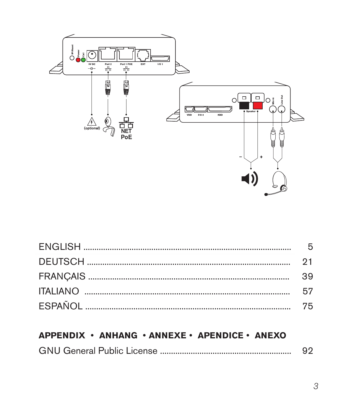

| 39   |
|------|
| - 57 |
| 75   |

#### APPENDIX · ANHANG · ANNEXE · APENDICE · ANEXO

|--|--|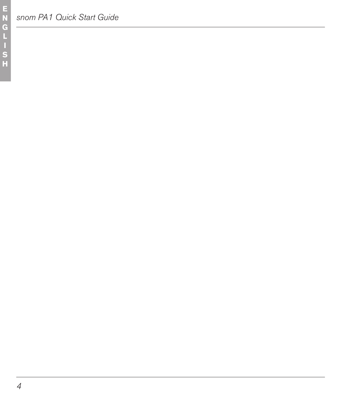#### *snom PA1 Quick Start Guide*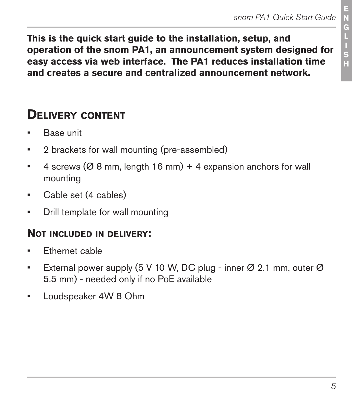**E N G L I S H**

**This is the quick start guide to the installation, setup, and operation of the snom PA1, an announcement system designed for easy access via web interface. The PA1 reduces installation time and creates a secure and centralized announcement network.**

# **Delivery content**

- Base unit
- 2 brackets for wall mounting (pre-assembled)
- $\bullet$  4 screws ( $\varnothing$  8 mm, length 16 mm) + 4 expansion anchors for wall mounting
- Cable set (4 cables)
- Drill template for wall mounting

#### **Not included in delivery:**

- Ethernet cable
- **•** External power supply (5 V 10 W, DC plug inner  $\varnothing$  2.1 mm, outer  $\varnothing$ 5.5 mm) - needed only if no PoE available
- Loudspeaker 4W 8 Ohm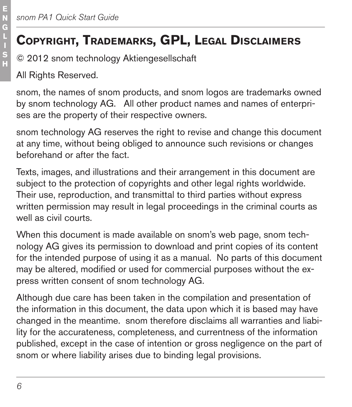# **Copyright, Trademarks, GPL, Legal Disclaimers**

© 2012 snom technology Aktiengesellschaft

All Rights Reserved.

snom, the names of snom products, and snom logos are trademarks owned by snom technology AG. All other product names and names of enterprises are the property of their respective owners.

snom technology AG reserves the right to revise and change this document at any time, without being obliged to announce such revisions or changes beforehand or after the fact.

Texts, images, and illustrations and their arrangement in this document are subject to the protection of copyrights and other legal rights worldwide. Their use, reproduction, and transmittal to third parties without express written permission may result in legal proceedings in the criminal courts as well as civil courts.

When this document is made available on snom's web page, snom technology AG gives its permission to download and print copies of its content for the intended purpose of using it as a manual. No parts of this document may be altered, modified or used for commercial purposes without the express written consent of snom technology AG.

Although due care has been taken in the compilation and presentation of the information in this document, the data upon which it is based may have changed in the meantime. snom therefore disclaims all warranties and liability for the accurateness, completeness, and currentness of the information published, except in the case of intention or gross negligence on the part of snom or where liability arises due to binding legal provisions.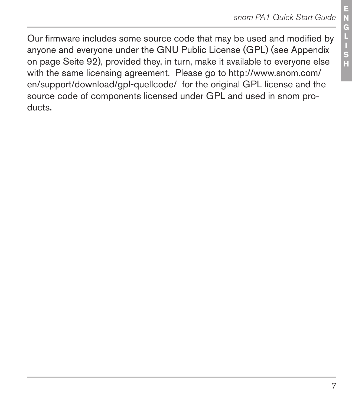Our firmware includes some source code that may be used and modified by anyone and everyone under the GNU Public License (GPL) (see Appendix on page Seite 92), provided they, in turn, make it available to everyone else with the same licensing agreement. Please go to http://www.snom.com/ en/support/download/gpl-quellcode/ for the original GPL license and the source code of components licensed under GPL and used in snom products.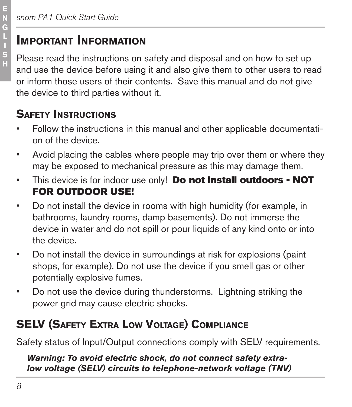### **Important Information**

Please read the instructions on safety and disposal and on how to set up and use the device before using it and also give them to other users to read or inform those users of their contents. Save this manual and do not give the device to third parties without it.

#### **Safety Instructions**

- Follow the instructions in this manual and other applicable documentation of the device.
- Avoid placing the cables where people may trip over them or where they may be exposed to mechanical pressure as this may damage them.
- This device is for indoor use only! Do not install outdoors NOT FOR OUTDOOR USE!
- Do not install the device in rooms with high humidity (for example, in bathrooms, laundry rooms, damp basements). Do not immerse the device in water and do not spill or pour liquids of any kind onto or into the device.
- Do not install the device in surroundings at risk for explosions (paint shops, for example). Do not use the device if you smell gas or other potentially explosive fumes.
- Do not use the device during thunderstorms. Lightning striking the power grid may cause electric shocks.

### **SELV (Safety Extra Low Voltage) Compliance**

Safety status of Input/Output connections comply with SELV requirements.

#### *Warning: To avoid electric shock, do not connect safety extralow voltage (SELV) circuits to telephone-network voltage (TNV)*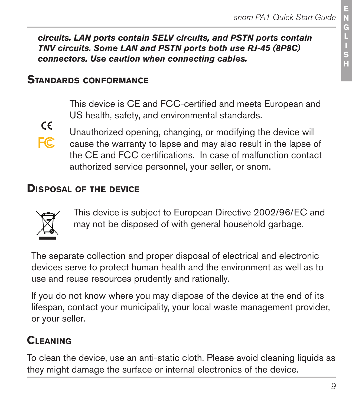*circuits. LAN ports contain SELV circuits, and PSTN ports contain TNV circuits. Some LAN and PSTN ports both use RJ-45 (8P8C) connectors. Use caution when connecting cables.*

#### **Standards conformance**

This device is CE and FCC-certified and meets European and US health, safety, and environmental standards.



Unauthorized opening, changing, or modifying the device will cause the warranty to lapse and may also result in the lapse of the CE and FCC certifications. In case of malfunction contact authorized service personnel, your seller, or snom.

#### **Disposal of the device**



This device is subject to European Directive 2002/96/EC and may not be disposed of with general household garbage.

The separate collection and proper disposal of electrical and electronic devices serve to protect human health and the environment as well as to use and reuse resources prudently and rationally.

If you do not know where you may dispose of the device at the end of its lifespan, contact your municipality, your local waste management provider, or your seller.

### **Cleaning**

To clean the device, use an anti-static cloth. Please avoid cleaning liquids as they might damage the surface or internal electronics of the device.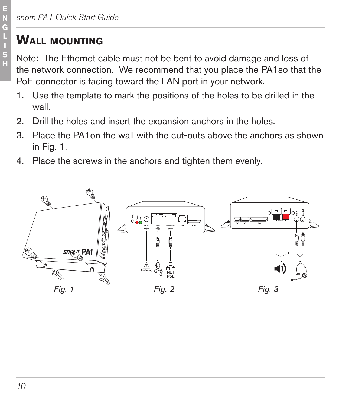# **Wall mounting**

Note: The Ethernet cable must not be bent to avoid damage and loss of the network connection. We recommend that you place the PA1so that the PoE connector is facing toward the LAN port in your network.

- 1. Use the template to mark the positions of the holes to be drilled in the wall.
- 2. Drill the holes and insert the expansion anchors in the holes.
- 3. Place the PA1on the wall with the cut-outs above the anchors as shown in Fig. 1.
- 4. Place the screws in the anchors and tighten them evenly.

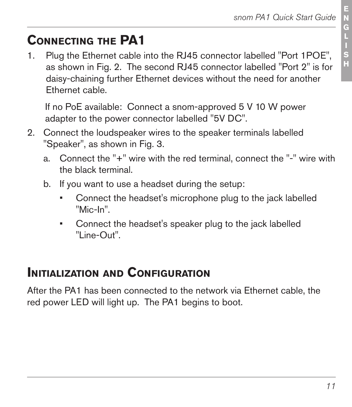# **Connecting the PA1**

1. Plug the Ethernet cable into the RJ45 connector labelled "Port 1POE", as shown in Fig. 2. The second RJ45 connector labelled "Port 2" is for daisy-chaining further Ethernet devices without the need for another Ethernet cable.

 If no PoE available: Connect a snom-approved 5 V 10 W power adapter to the power connector labelled "5V DC".

- 2. Connect the loudspeaker wires to the speaker terminals labelled "Speaker", as shown in Fig. 3.
	- a. Connect the "+" wire with the red terminal, connect the "-" wire with the black terminal.
	- b. If you want to use a headset during the setup:
		- Connect the headset's microphone plug to the jack labelled "Mic-In".
		- Connect the headset's speaker plug to the jack labelled "Line-Out".

### **Initialization and Configuration**

After the PA1 has been connected to the network via Ethernet cable, the red power LED will light up. The PA1 begins to boot.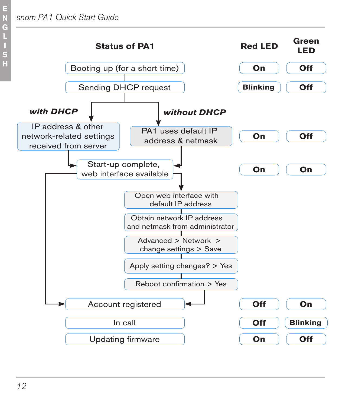#### *snom PA1 Quick Start Guide*

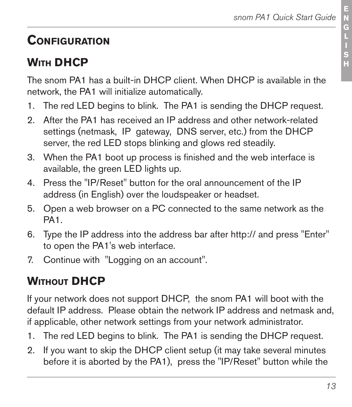# **CONFIGURATION**

# **With DHCP**

The snom PA1 has a built-in DHCP client. When DHCP is available in the network, the PA1 will initialize automatically.

- 1. The red LED begins to blink. The PA1 is sending the DHCP request.
- 2. After the PA1 has received an IP address and other network-related settings (netmask, IP gateway, DNS server, etc.) from the DHCP server, the red LED stops blinking and glows red steadily.
- 3. When the PA1 boot up process is finished and the web interface is available, the green LED lights up.
- 4. Press the "IP/Reset" button for the oral announcement of the IP address (in English) over the loudspeaker or headset.
- 5. Open a web browser on a PC connected to the same network as the PA1.
- 6. Type the IP address into the address bar after http:// and press "Enter" to open the PA1's web interface.
- 7. Continue with "Logging on an account".

# **WITHOUT DHCP**

If your network does not support DHCP, the snom PA1 will boot with the default IP address. Please obtain the network IP address and netmask and, if applicable, other network settings from your network administrator.

- 1. The red LED begins to blink. The PA1 is sending the DHCP request.
- 2. If you want to skip the DHCP client setup (it may take several minutes before it is aborted by the PA1), press the "IP/Reset" button while the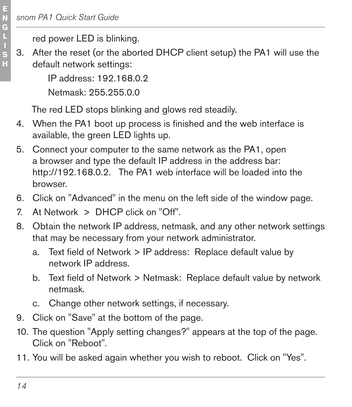red power LED is blinking.

3. After the reset (or the aborted DHCP client setup) the PA1 will use the default network settings:

> IP address: 192.168.0.2 Netmask: 255.255.0.0

The red LED stops blinking and glows red steadily.

- 4. When the PA1 boot up process is finished and the web interface is available, the green LED lights up.
- 5. Connect your computer to the same network as the PA1, open a browser and type the default IP address in the address bar: http://192.168.0.2. The PA1 web interface will be loaded into the browser.
- 6. Click on "Advanced" in the menu on the left side of the window page.
- 7. At Network > DHCP click on "Off".
- 8. Obtain the network IP address, netmask, and any other network settings that may be necessary from your network administrator.
	- a. Text field of Network > IP address: Replace default value by network IP address.
	- b. Text field of Network > Netmask: Replace default value by network netmask.
	- c. Change other network settings, if necessary.
- 9. Click on "Save" at the bottom of the page.
- 10. The question "Apply setting changes?" appears at the top of the page. Click on "Reboot".
- 11. You will be asked again whether you wish to reboot. Click on "Yes".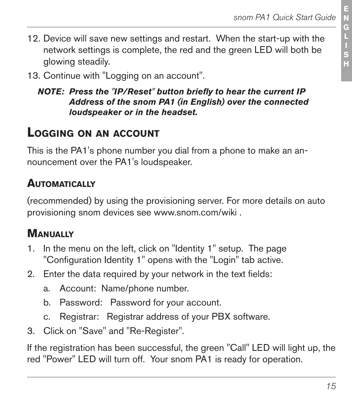- 12. Device will save new settings and restart. When the start-up with the network settings is complete, the red and the green LED will both be glowing steadily.
- 13. Continue with "Logging on an account".

#### *NOTE: Press the "IP/Reset" button briefly to hear the current IP Address of the snom PA1 (in English) over the connected loudspeaker or in the headset.*

#### **Logging on an account**

This is the PA1's phone number you dial from a phone to make an announcement over the PA1's loudspeaker.

#### **Automatically**

(recommended) by using the provisioning server. For more details on auto provisioning snom devices see www.snom.com/wiki .

### **Manually**

- 1. In the menu on the left, click on "Identity 1" setup. The page "Configuration Identity 1" opens with the "Login" tab active.
- 2. Enter the data required by your network in the text fields:
	- a. Account: Name/phone number.
	- b. Password: Password for your account.
	- c. Registrar: Registrar address of your PBX software.
- 3. Click on "Save" and "Re-Register".

If the registration has been successful, the green "Call" LED will light up, the red "Power" LED will turn off. Your snom PA1 is ready for operation.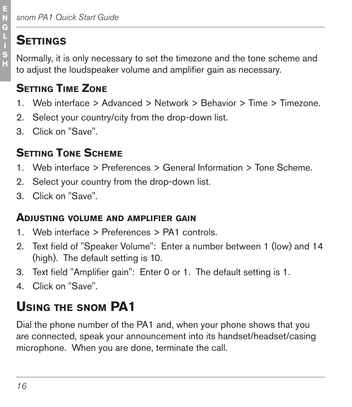# **SETTINGS**

Normally, it is only necessary to set the timezone and the tone scheme and to adjust the loudspeaker volume and amplifier gain as necessary.

### **Setting Time Zone**

- 1. Web interface > Advanced > Network > Behavior > Time > Timezone.
- 2. Select your country/city from the drop-down list.
- 3. Click on "Save".

### **Setting Tone Scheme**

- 1. Web interface > Preferences > General Information > Tone Scheme.
- 2. Select your country from the drop-down list.
- 3. Click on "Save".

#### **Adjusting volume and amplifier gain**

- 1. Web interface > Preferences > PA1 controls.
- 2. Text field of "Speaker Volume": Enter a number between 1 (low) and 14 (high). The default setting is 10.
- 3. Text field "Amplifier gain": Enter 0 or 1. The default setting is 1.
- 4. Click on "Save".

# **Using the snom PA1**

Dial the phone number of the PA1 and, when your phone shows that you are connected, speak your announcement into its handset/headset/casing microphone. When you are done, terminate the call.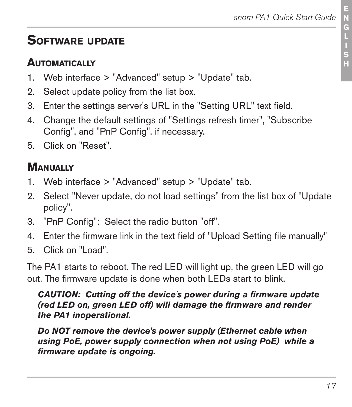### **Software update**

#### **Automatically**

- 1. Web interface > "Advanced" setup > "Update" tab.
- 2. Select update policy from the list box.
- 3. Enter the settings server's URL in the "Setting URL" text field.
- 4. Change the default settings of "Settings refresh timer", "Subscribe Config", and "PnP Config", if necessary.
- 5. Click on "Reset".

### **Manually**

- 1. Web interface > "Advanced" setup > "Update" tab.
- 2. Select "Never update, do not load settings" from the list box of "Update policy".
- 3. "PnP Config": Select the radio button "off".
- 4. Enter the firmware link in the text field of "Upload Setting file manually"
- 5. Click on "Load".

The PA1 starts to reboot. The red LED will light up, the green LED will go out. The firmware update is done when both LEDs start to blink.

#### *CAUTION: Cutting off the device's power during a firmware update (red LED on, green LED off) will damage the firmware and render the PA1 inoperational.*

*Do NOT remove the device's power supply (Ethernet cable when using PoE, power supply connection when not using PoE) while a firmware update is ongoing.*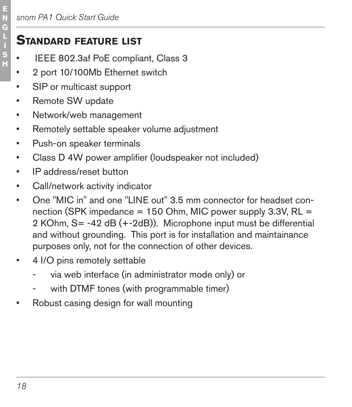### **Standard feature list**

- IEEE 802.3af PoE compliant, Class 3
- 2 port 10/100Mb Ethernet switch
- SIP or multicast support
- Remote SW update
- Network/web management
- Remotely settable speaker volume adjustment
- Push-on speaker terminals
- Class D 4W power amplifier (loudspeaker not included)
- IP address/reset button
- Call/network activity indicator
- One "MIC in" and one "LINE out" 3.5 mm connector for headset connection (SPK impedance  $= 150$  Ohm, MIC power supply 3.3V, RL  $=$ 2 KOhm, S= -42 dB (+-2dB)). Microphone input must be differential and without grounding. This port is for installation and maintainance purposes only, not for the connection of other devices.
- 4 I/O pins remotely settable
	- via web interface (in administrator mode only) or
	- with DTMF tones (with programmable timer)
- Robust casing design for wall mounting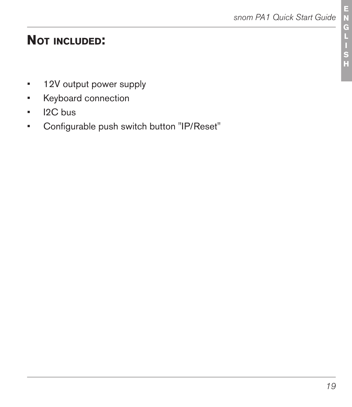### **NOt iNcluDED:**

- 12V output power supply
- Keyboard connection
- I2C bus
- Configurable push switch button "IP/Reset"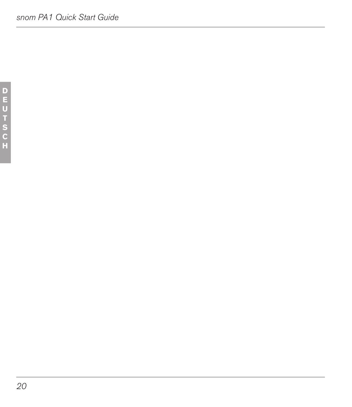*snom PA1 Quick Start Guide*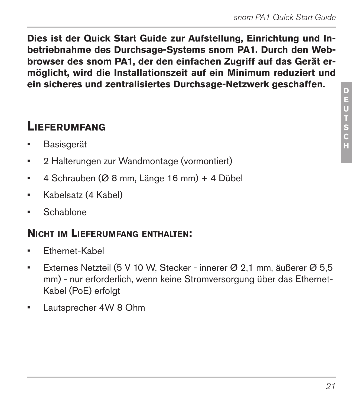**Dies ist der Quick Start Guide zur Aufstellung, Einrichtung und Inbetriebnahme des Durchsage-Systems snom PA1. Durch den Webbrowser des snom PA1, der den einfachen Zugriff auf das Gerät ermöglicht, wird die Installationszeit auf ein Minimum reduziert und ein sicheres und zentralisiertes Durchsage-Netzwerk geschaffen.**

# **Lieferumfang**

- Basisgerät
- 2 Halterungen zur Wandmontage (vormontiert)
- 4 Schrauben (Ø 8 mm, Länge 16 mm) + 4 Dübel
- Kabelsatz (4 Kabel)
- Schablone

#### **Nicht im Lieferumfang enthalten:**

- Ethernet-Kabel
- Externes Netzteil (5 V 10 W, Stecker innerer Ø 2,1 mm, äußerer Ø 5,5 mm) - nur erforderlich, wenn keine Stromversorgung über das Ethernet-Kabel (PoE) erfolgt
- Lautsprecher 4W 8 Ohm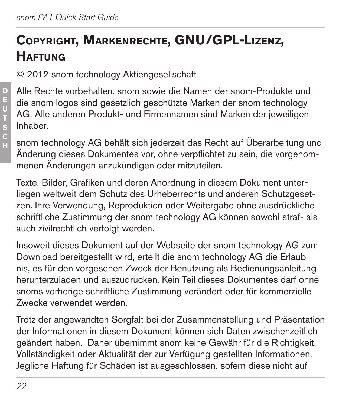# **Copyright, Markenrechte, GNU/GPL-Lizenz, HAFTUNG**

© 2012 snom technology Aktiengesellschaft

Alle Rechte vorbehalten. snom sowie die Namen der snom-Produkte und die snom logos sind gesetzlich geschützte Marken der snom technology AG. Alle anderen Produkt- und Firmennamen sind Marken der jeweiligen Inhaber.

snom technology AG behält sich jederzeit das Recht auf Überarbeitung und Änderung dieses Dokumentes vor, ohne verpflichtet zu sein, die vorgenommenen Änderungen anzukündigen oder mitzuteilen.

Texte, Bilder, Grafiken und deren Anordnung in diesem Dokument unterliegen weltweit dem Schutz des Urheberrechts und anderen Schutzgesetzen. Ihre Verwendung, Reproduktion oder Weitergabe ohne ausdrückliche schriftliche Zustimmung der snom technology AG können sowohl straf- als auch zivilrechtlich verfolgt werden.

Insoweit dieses Dokument auf der Webseite der snom technology AG zum Download bereitgestellt wird, erteilt die snom technology AG die Erlaubnis, es für den vorgesehen Zweck der Benutzung als Bedienungsanleitung herunterzuladen und auszudrucken. Kein Teil dieses Dokumentes darf ohne snoms vorherige schriftliche Zustimmung verändert oder für kommerzielle Zwecke verwendet werden.

Trotz der angewandten Sorgfalt bei der Zusammenstellung und Präsentation der Informationen in diesem Dokument können sich Daten zwischenzeitlich geändert haben. Daher übernimmt snom keine Gewähr für die Richtigkeit, Vollständigkeit oder Aktualität der zur Verfügung gestellten Informationen. Jegliche Haftung für Schäden ist ausgeschlossen, sofern diese nicht auf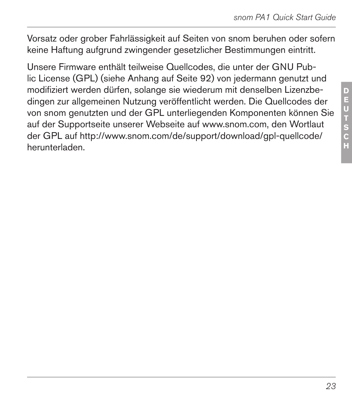Vorsatz oder grober Fahrlässigkeit auf Seiten von snom beruhen oder sofern keine Haftung aufgrund zwingender gesetzlicher Bestimmungen eintritt.

Unsere Firmware enthält teilweise Quellcodes, die unter der GNU Public License (GPL) (siehe Anhang auf Seite 92) von jedermann genutzt und modifiziert werden dürfen, solange sie wiederum mit denselben Lizenzbedingen zur allgemeinen Nutzung veröffentlicht werden. Die Quellcodes der von snom genutzten und der GPL unterliegenden Komponenten können Sie auf der Supportseite unserer Webseite auf www.snom.com, den Wortlaut der GPL auf http://www.snom.com/de/support/download/gpl-quellcode/ herunterladen.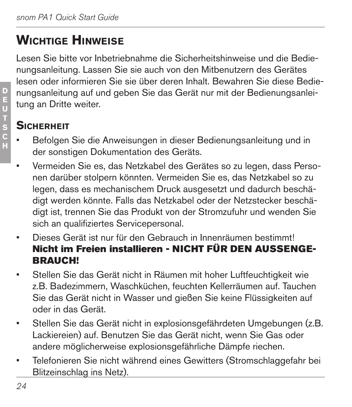### **Wichtige Hinweise**

Lesen Sie bitte vor Inbetriebnahme die Sicherheitshinweise und die Bedienungsanleitung. Lassen Sie sie auch von den Mitbenutzern des Gerätes lesen oder informieren Sie sie über deren Inhalt. Bewahren Sie diese Bedienungsanleitung auf und geben Sie das Gerät nur mit der Bedienungsanleitung an Dritte weiter.

#### **SICHERHEIT**

- Befolgen Sie die Anweisungen in dieser Bedienungsanleitung und in der sonstigen Dokumentation des Geräts.
- Vermeiden Sie es, das Netzkabel des Gerätes so zu legen, dass Personen darüber stolpern könnten. Vermeiden Sie es, das Netzkabel so zu legen, dass es mechanischem Druck ausgesetzt und dadurch beschädigt werden könnte. Falls das Netzkabel oder der Netzstecker beschädigt ist, trennen Sie das Produkt von der Stromzufuhr und wenden Sie sich an qualifiziertes Servicepersonal.
- Dieses Gerät ist nur für den Gebrauch in Innenräumen bestimmt! Nicht im Freien installieren - NICHT FÜR DEN AUSSENGE-BRAUCH!
- Stellen Sie das Gerät nicht in Räumen mit hoher Luftfeuchtigkeit wie z.B. Badezimmern, Waschküchen, feuchten Kellerräumen auf. Tauchen Sie das Gerät nicht in Wasser und gießen Sie keine Flüssigkeiten auf oder in das Gerät.
- Stellen Sie das Gerät nicht in explosionsgefährdeten Umgebungen (z.B. Lackiereien) auf. Benutzen Sie das Gerät nicht, wenn Sie Gas oder andere möglicherweise explosionsgefährliche Dämpfe riechen.
- Telefonieren Sie nicht während eines Gewitters (Stromschlaggefahr bei Blitzeinschlag ins Netz).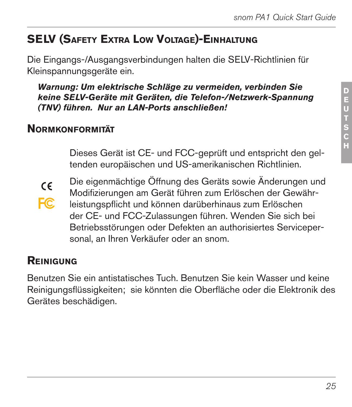### **SELV (Safety Extra Low Voltage)-Einhaltung**

Die Eingangs-/Ausgangsverbindungen halten die SELV-Richtlinien für Kleinspannungsgeräte ein.

*Warnung: Um elektrische Schläge zu vermeiden, verbinden Sie keine SELV-Geräte mit Geräten, die Telefon-/Netzwerk-Spannung (TNV) führen. Nur an LAN-Ports anschließen!*

#### **Normkonformität**

Dieses Gerät ist CE- und FCC-geprüft und entspricht den geltenden europäischen und US-amerikanischen Richtlinien.



Die eigenmächtige Öffnung des Geräts sowie Änderungen und Modifizierungen am Gerät führen zum Erlöschen der Gewährleistungspflicht und können darüberhinaus zum Erlöschen der CE- und FCC-Zulassungen führen. Wenden Sie sich bei Betriebsstörungen oder Defekten an authorisiertes Servicepersonal, an Ihren Verkäufer oder an snom.

### **Reinigung**

Benutzen Sie ein antistatisches Tuch. Benutzen Sie kein Wasser und keine Reinigungsflüssigkeiten; sie könnten die Oberfläche oder die Elektronik des Gerätes beschädigen.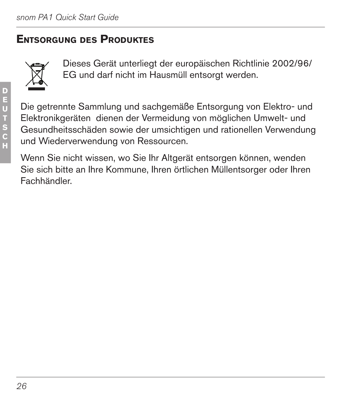#### **Entsorgung des Produktes**



Dieses Gerät unterliegt der europäischen Richtlinie 2002/96/ EG und darf nicht im Hausmüll entsorgt werden.

Die getrennte Sammlung und sachgemäße Entsorgung von Elektro- und Elektronikgeräten dienen der Vermeidung von möglichen Umwelt- und Gesundheitsschäden sowie der umsichtigen und rationellen Verwendung und Wiederverwendung von Ressourcen.

Wenn Sie nicht wissen, wo Sie Ihr Altgerät entsorgen können, wenden Sie sich bitte an Ihre Kommune, Ihren örtlichen Müllentsorger oder Ihren Fachhändler.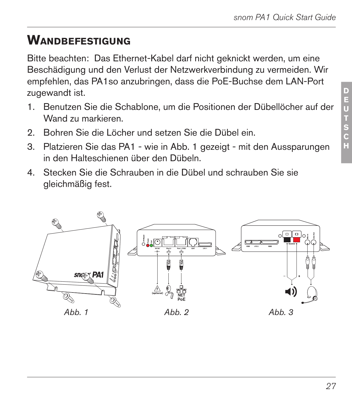# **WANDBEFESTIGUNG**

Bitte beachten: Das Ethernet-Kabel darf nicht geknickt werden, um eine Beschädigung und den Verlust der Netzwerkverbindung zu vermeiden. Wir empfehlen, das PA1so anzubringen, dass die PoE-Buchse dem LAN-Port zugewandt ist.

- 1. Benutzen Sie die Schablone, um die Positionen der Dübellöcher auf der Wand zu markieren.
- 2. Bohren Sie die Löcher und setzen Sie die Dübel ein.
- 3. Platzieren Sie das PA1 wie in Abb. 1 gezeigt mit den Aussparungen in den Halteschienen über den Dübeln.
- 4. Stecken Sie die Schrauben in die Dübel und schrauben Sie sie gleichmäßig fest.

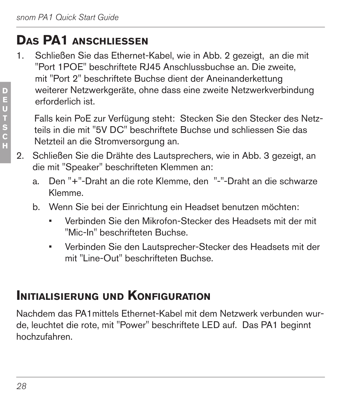# **Das PA1 anschliessen**

1. Schließen Sie das Ethernet-Kabel, wie in Abb. 2 gezeigt, an die mit "Port 1POE" beschriftete RJ45 Anschlussbuchse an. Die zweite, mit "Port 2" beschriftete Buchse dient der Aneinanderkettung weiterer Netzwerkgeräte, ohne dass eine zweite Netzwerkverbindung erforderlich ist.

Falls kein PoE zur Verfügung steht: Stecken Sie den Stecker des Netzteils in die mit "5V DC" beschriftete Buchse und schliessen Sie das Netzteil an die Stromversorgung an.

- 2. Schließen Sie die Drähte des Lautsprechers, wie in Abb. 3 gezeigt, an die mit "Speaker" beschrifteten Klemmen an:
	- a. Den "+"-Draht an die rote Klemme, den "-"-Draht an die schwarze Klemme.
	- b. Wenn Sie bei der Einrichtung ein Headset benutzen möchten:
		- Verbinden Sie den Mikrofon-Stecker des Headsets mit der mit "Mic-In" beschrifteten Buchse.
		- Verbinden Sie den Lautsprecher-Stecker des Headsets mit der mit "Line-Out" beschrifteten Buchse.

### **Initialisierung und Konfiguration**

Nachdem das PA1mittels Ethernet-Kabel mit dem Netzwerk verbunden wurde, leuchtet die rote, mit "Power" beschriftete LED auf. Das PA1 beginnt hochzufahren.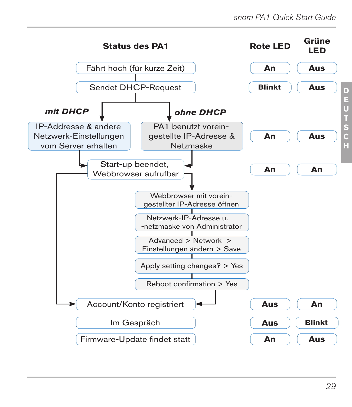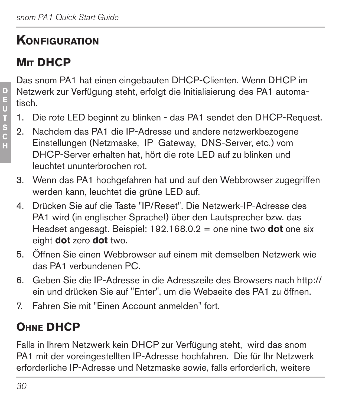# **KONFIGURATION**

# **Mit DHCP**

Das snom PA1 hat einen eingebauten DHCP-Clienten. Wenn DHCP im Netzwerk zur Verfügung steht, erfolgt die Initialisierung des PA1 automatisch.

- 1. Die rote LED beginnt zu blinken das PA1 sendet den DHCP-Request.
- 2. Nachdem das PA1 die IP-Adresse und andere netzwerkbezogene Einstellungen (Netzmaske, IP Gateway, DNS-Server, etc.) vom DHCP-Server erhalten hat, hört die rote LED auf zu blinken und leuchtet ununterbrochen rot.
- 3. Wenn das PA1 hochgefahren hat und auf den Webbrowser zugegriffen werden kann, leuchtet die grüne LED auf.
- 4. Drücken Sie auf die Taste "IP/Reset". Die Netzwerk-IP-Adresse des PA1 wird (in englischer Sprache!) über den Lautsprecher bzw. das Headset angesagt. Beispiel: 192.168.0.2 = one nine two **dot** one six eight **dot** zero **dot** two.
- 5. Öffnen Sie einen Webbrowser auf einem mit demselben Netzwerk wie das PA1 verbundenen PC.
- 6. Geben Sie die IP-Adresse in die Adresszeile des Browsers nach http:// ein und drücken Sie auf "Enter", um die Webseite des PA1 zu öffnen.
- 7. Fahren Sie mit "Einen Account anmelden" fort.

### **Ohne DHCP**

Falls in Ihrem Netzwerk kein DHCP zur Verfügung steht, wird das snom PA1 mit der voreingestellten IP-Adresse hochfahren. Die für Ihr Netzwerk erforderliche IP-Adresse und Netzmaske sowie, falls erforderlich, weitere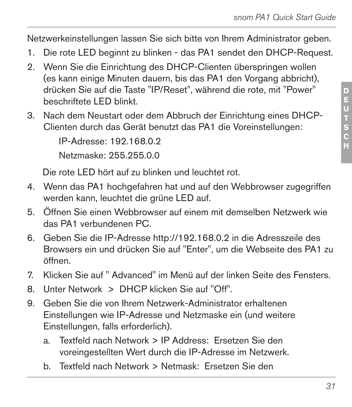Netzwerkeinstellungen lassen Sie sich bitte von Ihrem Administrator geben.

- 1. Die rote LED beginnt zu blinken das PA1 sendet den DHCP-Request.
- 2. Wenn Sie die Einrichtung des DHCP-Clienten überspringen wollen (es kann einige Minuten dauern, bis das PA1 den Vorgang abbricht), drücken Sie auf die Taste "IP/Reset", während die rote, mit "Power" beschriftete LED blinkt.
- 3. Nach dem Neustart oder dem Abbruch der Einrichtung eines DHCP-Clienten durch das Gerät benutzt das PA1 die Voreinstellungen:

IP-Adresse: 192.168.0.2

Netzmaske: 255.255.0.0

Die rote LED hört auf zu blinken und leuchtet rot.

- 4. Wenn das PA1 hochgefahren hat und auf den Webbrowser zugegriffen werden kann, leuchtet die grüne LED auf.
- 5. Öffnen Sie einen Webbrowser auf einem mit demselben Netzwerk wie das PA1 verbundenen PC.
- 6. Geben Sie die IP-Adresse http://192.168.0.2 in die Adresszeile des Browsers ein und drücken Sie auf "Enter", um die Webseite des PA1 zu öffnen.
- 7. Klicken Sie auf " Advanced" im Menü auf der linken Seite des Fensters.
- 8. Unter Network > DHCP klicken Sie auf "Off".
- 9. Geben Sie die von Ihrem Netzwerk-Administrator erhaltenen Einstellungen wie IP-Adresse und Netzmaske ein (und weitere Einstellungen, falls erforderlich).
	- a. Textfeld nach Network > IP Address: Ersetzen Sie den voreingestellten Wert durch die IP-Adresse im Netzwerk.
	- b. Textfeld nach Network > Netmask: Ersetzen Sie den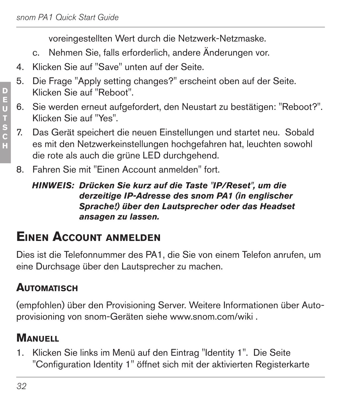voreingestellten Wert durch die Netzwerk-Netzmaske.

- c. Nehmen Sie, falls erforderlich, andere Änderungen vor.
- 4. Klicken Sie auf "Save" unten auf der Seite.
- 5. Die Frage "Apply setting changes?" erscheint oben auf der Seite. Klicken Sie auf "Reboot".
- 6. Sie werden erneut aufgefordert, den Neustart zu bestätigen: "Reboot?". Klicken Sie auf "Yes".
- 7. Das Gerät speichert die neuen Einstellungen und startet neu. Sobald es mit den Netzwerkeinstellungen hochgefahren hat, leuchten sowohl die rote als auch die grüne LED durchgehend.
- 8. Fahren Sie mit "Einen Account anmelden" fort.

#### *HINWEIS: Drücken Sie kurz auf die Taste "IP/Reset", um die derzeitige IP-Adresse des snom PA1 (in englischer Sprache!) über den Lautsprecher oder das Headset ansagen zu lassen.*

# **Einen Account anmelden**

Dies ist die Telefonnummer des PA1, die Sie von einem Telefon anrufen, um eine Durchsage über den Lautsprecher zu machen.

### **AUTOMATISCH**

(empfohlen) über den Provisioning Server. Weitere Informationen über Autoprovisioning von snom-Geräten siehe www.snom.com/wiki .

#### **Manuell**

1. Klicken Sie links im Menü auf den Eintrag "Identity 1". Die Seite "Configuration Identity 1" öffnet sich mit der aktivierten Registerkarte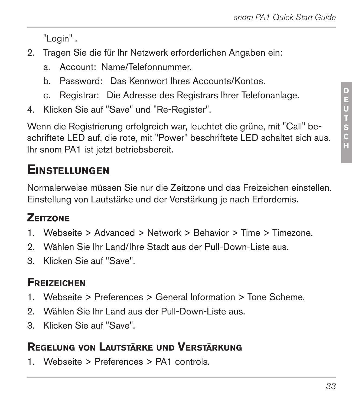"Login" .

- 2. Tragen Sie die für Ihr Netzwerk erforderlichen Angaben ein:
	- a. Account: Name/Telefonnummer.
	- b. Password: Das Kennwort Ihres Accounts/Kontos.
	- c. Registrar: Die Adresse des Registrars Ihrer Telefonanlage.
- 4. Klicken Sie auf "Save" und "Re-Register".

Wenn die Registrierung erfolgreich war, leuchtet die grüne, mit "Call" beschriftete LED auf, die rote, mit "Power" beschriftete LED schaltet sich aus. Ihr snom PA1 ist jetzt betriebsbereit.

# **Einstellungen**

Normalerweise müssen Sie nur die Zeitzone und das Freizeichen einstellen. Einstellung von Lautstärke und der Verstärkung je nach Erfordernis.

# **Zeitzone**

- 1. Webseite > Advanced > Network > Behavior > Time > Timezone.
- 2. Wählen Sie Ihr Land/Ihre Stadt aus der Pull-Down-Liste aus.
- 3. Klicken Sie auf "Save".

# **Freizeichen**

- 1. Webseite > Preferences > General Information > Tone Scheme.
- 2. Wählen Sie Ihr Land aus der Pull-Down-Liste aus.
- 3. Klicken Sie auf "Save".

### **Regelung von Lautstärke und Verstärkung**

1. Webseite > Preferences > PA1 controls.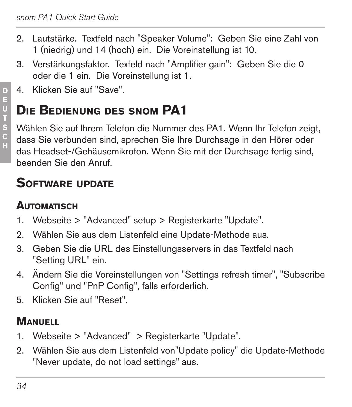- 2. Lautstärke. Textfeld nach "Speaker Volume": Geben Sie eine Zahl von 1 (niedrig) und 14 (hoch) ein. Die Voreinstellung ist 10.
- 3. Verstärkungsfaktor. Texfeld nach "Amplifier gain": Geben Sie die 0 oder die 1 ein. Die Voreinstellung ist 1.
- 4. Klicken Sie auf "Save".

# **Die Bedienung des snom PA1**

Wählen Sie auf Ihrem Telefon die Nummer des PA1. Wenn Ihr Telefon zeigt, dass Sie verbunden sind, sprechen Sie Ihre Durchsage in den Hörer oder das Headset-/Gehäusemikrofon. Wenn Sie mit der Durchsage fertig sind, beenden Sie den Anruf.

### **Software update**

#### **Automatisch**

- 1. Webseite > "Advanced" setup > Registerkarte "Update".
- 2. Wählen Sie aus dem Listenfeld eine Update-Methode aus.
- 3. Geben Sie die URL des Einstellungsservers in das Textfeld nach "Setting URL" ein.
- 4. Ändern Sie die Voreinstellungen von "Settings refresh timer", "Subscribe Config" und "PnP Config", falls erforderlich.
- 5. Klicken Sie auf "Reset".

#### **Manuell**

- 1. Webseite > "Advanced" > Registerkarte "Update".
- 2. Wählen Sie aus dem Listenfeld von"Update policy" die Update-Methode "Never update, do not load settings" aus.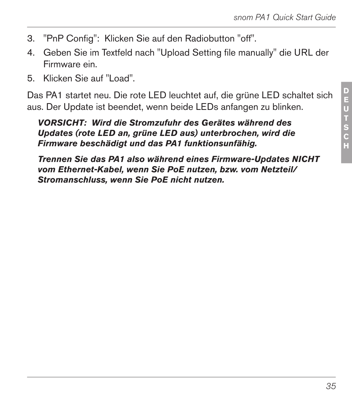- 3. "PnP Config": Klicken Sie auf den Radiobutton "off".
- 4. Geben Sie im Textfeld nach "Upload Setting file manually" die URL der Firmware ein.
- 5. Klicken Sie auf "Load".

Das PA1 startet neu. Die rote LED leuchtet auf, die grüne LED schaltet sich aus. Der Update ist beendet, wenn beide LEDs anfangen zu blinken.

*VORSICHT: Wird die Stromzufuhr des Gerätes während des Updates (rote LED an, grüne LED aus) unterbrochen, wird die Firmware beschädigt und das PA1 funktionsunfähig.* 

*Trennen Sie das PA1 also während eines Firmware-Updates NICHT vom Ethernet-Kabel, wenn Sie PoE nutzen, bzw. vom Netzteil/ Stromanschluss, wenn Sie PoE nicht nutzen.*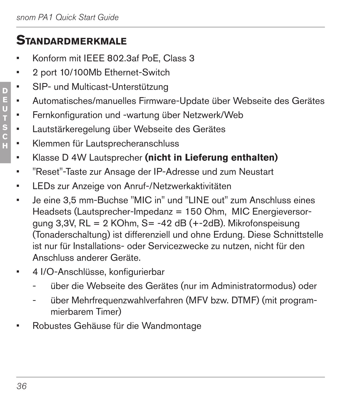### **Standardmerkmale**

- Konform mit IEEE 802.3af PoE, Class 3
- 2 port 10/100Mb Ethernet-Switch
- SIP- und Multicast-Unterstützung
- Automatisches/manuelles Firmware-Update über Webseite des Gerätes
- Fernkonfiguration und -wartung über Netzwerk/Web
- Lautstärkeregelung über Webseite des Gerätes
- Klemmen für Lautsprecheranschluss
- Klasse D 4W Lautsprecher **(nicht in Lieferung enthalten)**
- "Reset"-Taste zur Ansage der IP-Adresse und zum Neustart
- LEDs zur Anzeige von Anruf-/Netzwerkaktivitäten
- Je eine 3,5 mm-Buchse "MIC in" und "LINE out" zum Anschluss eines Headsets (Lautsprecher-Impedanz = 150 Ohm, MIC Energieversorgung  $3,3V$ ,  $RL = 2$  KOhm,  $S = -42$  dB  $(+ -2dB)$ . Mikrofonspeisung (Tonaderschaltung) ist differenziell und ohne Erdung. Diese Schnittstelle ist nur für Installations- oder Servicezwecke zu nutzen, nicht für den Anschluss anderer Geräte.
- 4 I/O-Anschlüsse, konfigurierbar
	- über die Webseite des Gerätes (nur im Administratormodus) oder
	- über Mehrfrequenzwahlverfahren (MFV bzw. DTMF) (mit programmierbarem Timer)
- Robustes Gehäuse für die Wandmontage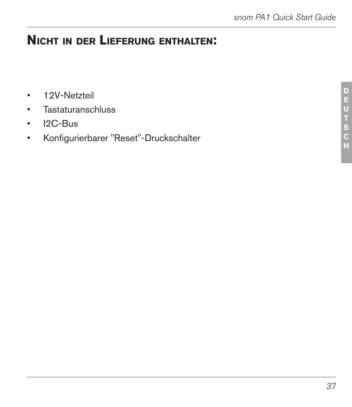## **Nicht iN DEr liEfEruNg ENthaltEN:**

- 12V-Netzteil
- Tastaturanschluss
- I2C-Bus
- Konfigurierbarer "Reset"-Druckschalter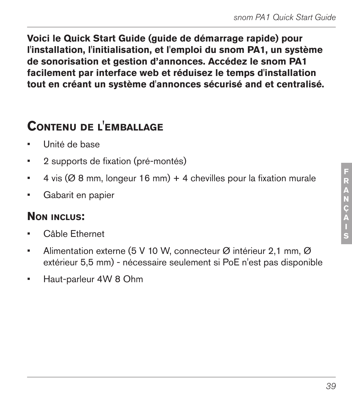*snom PA1 Quick Start Guide*

**Voici le Quick Start Guide (guide de démarrage rapide) pour l'installation, l'initialisation, et l'emploi du snom PA1, un système de sonorisation et gestion d'annonces. Accédez le snom PA1 facilement par interface web et réduisez le temps d'installation tout en créant un système d'annonces sécurisé and et centralisé.**

## **Contenu de <sup>l</sup>'emballage**

- Unité de base
- 2 supports de fixation (pré-montés)
- $\bullet$  4 vis ( $\varnothing$  8 mm, longeur 16 mm) + 4 chevilles pour la fixation murale
- Gabarit en papier

#### **Non inclus:**

- Câble Ethernet
- Alimentation externe (5 V 10 W, connecteur Ø intérieur 2,1 mm, Ø extérieur 5,5 mm) - nécessaire seulement si PoE n'est pas disponible
- Haut-parleur 4W 8 Ohm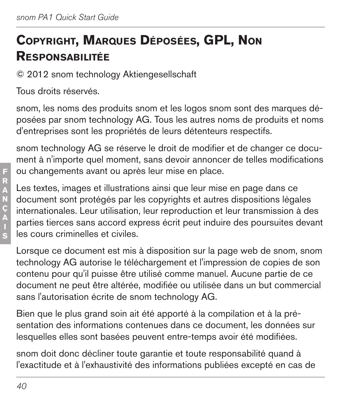# **Copyright, Marques Déposées, GPL, Non Responsabilitée**

© 2012 snom technology Aktiengesellschaft

Tous droits réservés.

snom, les noms des produits snom et les logos snom sont des marques déposées par snom technology AG. Tous les autres noms de produits et noms d'entreprises sont les propriétés de leurs détenteurs respectifs.

snom technology AG se réserve le droit de modifier et de changer ce document à n'importe quel moment, sans devoir annoncer de telles modifications ou changements avant ou après leur mise en place.

Les textes, images et illustrations ainsi que leur mise en page dans ce document sont protégés par les copyrights et autres dispositions légales internationales. Leur utilisation, leur reproduction et leur transmission à des parties tierces sans accord express écrit peut induire des poursuites devant les cours criminelles et civiles.

Lorsque ce document est mis à disposition sur la page web de snom, snom technology AG autorise le téléchargement et l'impression de copies de son contenu pour qu'il puisse être utilisé comme manuel. Aucune partie de ce document ne peut être altérée, modifiée ou utilisée dans un but commercial sans l'autorisation écrite de snom technology AG.

Bien que le plus grand soin ait été apporté à la compilation et à la présentation des informations contenues dans ce document, les données sur lesquelles elles sont basées peuvent entre-temps avoir été modifiées.

snom doit donc décliner toute garantie et toute responsabilité quand à l'exactitude et à l'exhaustivité des informations publiées excepté en cas de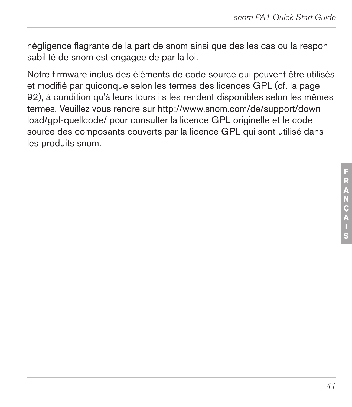négligence flagrante de la part de snom ainsi que des les cas ou la responsabilité de snom est engagée de par la loi.

Notre firmware inclus des éléments de code source qui peuvent être utilisés et modifié par quiconque selon les termes des licences GPL (cf. la page 92), à condition qu'à leurs tours ils les rendent disponibles selon les mêmes termes. Veuillez vous rendre sur http://www.snom.com/de/support/download/gpl-quellcode/ pour consulter la licence GPL originelle et le code source des composants couverts par la licence GPL qui sont utilisé dans les produits snom.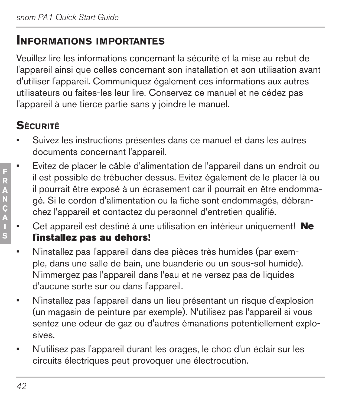### **Informations importantes**

Veuillez lire les informations concernant la sécurité et la mise au rebut de l'appareil ainsi que celles concernant son installation et son utilisation avant d'utiliser l'appareil. Communiquez également ces informations aux autres utilisateurs ou faites-les leur lire. Conservez ce manuel et ne cédez pas l'appareil à une tierce partie sans y joindre le manuel.

### **SÉCURITÉ**

- Suivez les instructions présentes dans ce manuel et dans les autres documents concernant l'appareil.
- Evitez de placer le câble d'alimentation de l'appareil dans un endroit ou il est possible de trébucher dessus. Evitez également de le placer là ou il pourrait être exposé à un écrasement car il pourrait en être endommagé. Si le cordon d'alimentation ou la fiche sont endommagés, débranchez l'appareil et contactez du personnel d'entretien qualifié.
- Cet appareil est destiné à une utilisation en intérieur uniquement! Ne l'installez pas au dehors!
- N'installez pas l'appareil dans des pièces très humides (par exemple, dans une salle de bain, une buanderie ou un sous-sol humide). N'immergez pas l'appareil dans l'eau et ne versez pas de liquides d'aucune sorte sur ou dans l'appareil.
- N'installez pas l'appareil dans un lieu présentant un risque d'explosion (un magasin de peinture par exemple). N'utilisez pas l'appareil si vous sentez une odeur de gaz ou d'autres émanations potentiellement explosives.
- N'utilisez pas l'appareil durant les orages, le choc d'un éclair sur les circuits électriques peut provoquer une électrocution.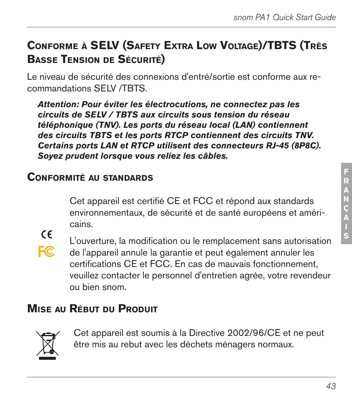## **Conforme à SELV (Safety Extra Low Voltage)/TBTS (Très Basse Tension de Sécurité)**

Le niveau de sécurité des connexions d'entré/sortie est conforme aux recommandations SELV /TBTS.

*Attention: Pour éviter les électrocutions, ne connectez pas les circuits de SELV / TBTS aux circuits sous tension du réseau téléphonique (TNV). Les ports du réseau local (LAN) contiennent des circuits TBTS et les ports RTCP contiennent des circuits TNV. Certains ports LAN et RTCP utilisent des connecteurs RJ-45 (8P8C). Soyez prudent lorsque vous reliez les câbles.*

### **Conformité au standards**

Cet appareil est certifié CE et FCC et répond aux standards environnementaux, de sécurité et de santé européens et américains.



L'ouverture, la modification ou le remplacement sans autorisation de l'appareil annule la garantie et peut également annuler les certifications CE et FCC. En cas de mauvais fonctionnement, veuillez contacter le personnel d'entretien agrée, votre revendeur ou bien snom.

### **Mise au Rébut du Produit**



Cet appareil est soumis à la Directive 2002/96/CE et ne peut être mis au rebut avec les déchets ménagers normaux.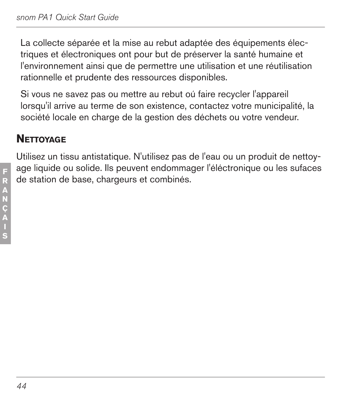La collecte séparée et la mise au rebut adaptée des équipements électriques et électroniques ont pour but de préserver la santé humaine et l'environnement ainsi que de permettre une utilisation et une réutilisation rationnelle et prudente des ressources disponibles.

Si vous ne savez pas ou mettre au rebut oú faire recycler l'appareil lorsqu'il arrive au terme de son existence, contactez votre municipalité, la société locale en charge de la gestion des déchets ou votre vendeur.

### **Nettoyage**

Utilisez un tissu antistatique. N'utilisez pas de l'eau ou un produit de nettoyage liquide ou solide. Ils peuvent endommager l'éléctronique ou les sufaces de station de base, chargeurs et combinés.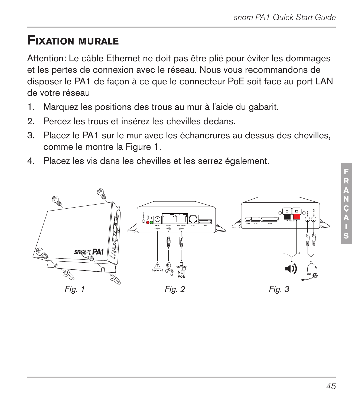## **Fixation murale**

Attention: Le câble Ethernet ne doit pas être plié pour éviter les dommages et les pertes de connexion avec le réseau. Nous vous recommandons de disposer le PA1 de façon à ce que le connecteur PoE soit face au port LAN de votre réseau

- 1. Marquez les positions des trous au mur à l'aide du gabarit.
- 2. Percez les trous et insérez les chevilles dedans.
- 3. Placez le PA1 sur le mur avec les échancrures au dessus des chevilles, comme le montre la Figure 1.
- 4. Placez les vis dans les chevilles et les serrez également.

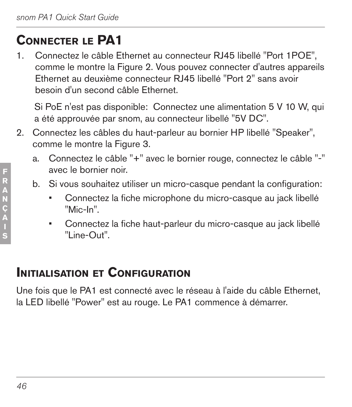# **Connecter le PA1**

1. Connectez le câble Ethernet au connecteur RJ45 libellé "Port 1POE", comme le montre la Figure 2. Vous pouvez connecter d'autres appareils Ethernet au deuxième connecteur RJ45 libellé "Port 2" sans avoir besoin d'un second câble Ethernet.

Si PoE n'est pas disponible: Connectez une alimentation 5 V 10 W, qui a été approuvée par snom, au connecteur libellé "5V DC".

- 2. Connectez les câbles du haut-parleur au bornier HP libellé "Speaker", comme le montre la Figure 3.
	- a. Connectez le câble "+" avec le bornier rouge, connectez le câble "-" avec le bornier noir.
	- b. Si vous souhaitez utiliser un micro-casque pendant la configuration:
		- Connectez la fiche microphone du micro-casque au jack libellé "Mic-In".
		- Connectez la fiche haut-parleur du micro-casque au jack libellé "Line-Out".

## **Initialisation et Configuration**

Une fois que le PA1 est connecté avec le réseau à l'aide du câble Ethernet, la LED libellé "Power" est au rouge. Le PA1 commence à démarrer.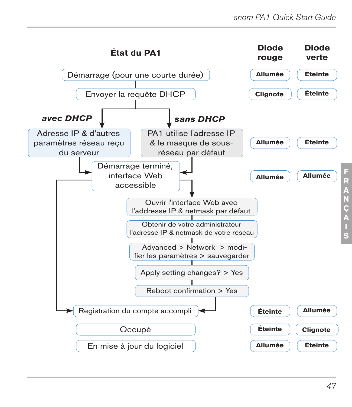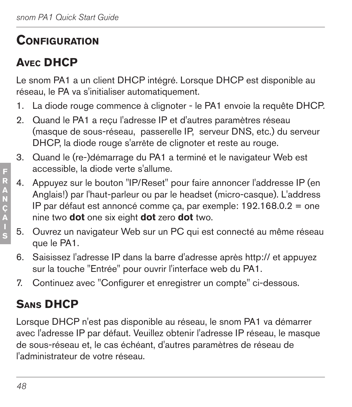## **Configuration**

## **Avec DHCP**

Le snom PA1 a un client DHCP intégré. Lorsque DHCP est disponible au réseau, le PA va s'initialiser automatiquement.

- 1. La diode rouge commence à clignoter le PA1 envoie la requête DHCP.
- 2. Quand le PA1 a reçu l'adresse IP et d'autres paramètres réseau (masque de sous-réseau, passerelle IP, serveur DNS, etc.) du serveur DHCP, la diode rouge s'arrête de clignoter et reste au rouge.
- 3. Quand le (re-)démarrage du PA1 a terminé et le navigateur Web est accessible, la diode verte s'allume.
- 4. Appuyez sur le bouton "IP/Reset" pour faire annoncer l'addresse IP (en Anglais!) par l'haut-parleur ou par le headset (micro-casque). L'address IP par défaut est annoncé comme ça, par exemple: 192.168.0.2 = one nine two **dot** one six eight **dot** zero **dot** two.
- 5. Ouvrez un navigateur Web sur un PC qui est connecté au même réseau que le PA1.
- 6. Saisissez l'adresse IP dans la barre d'adresse après http:// et appuyez sur la touche "Entrée" pour ouvrir l'interface web du PA1.
- 7. Continuez avec "Configurer et enregistrer un compte" ci-dessous.

## **Sans DHCP**

Lorsque DHCP n'est pas disponible au réseau, le snom PA1 va démarrer avec l'adresse IP par défaut. Veuillez obtenir l'adresse IP réseau, le masque de sous-réseau et, le cas échéant, d'autres paramètres de réseau de l'administrateur de votre réseau.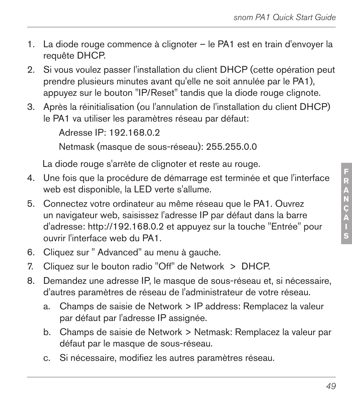- 1. La diode rouge commence à clignoter le PA1 est en train d'envoyer la requête DHCP.
- 2. Si vous voulez passer l'installation du client DHCP (cette opération peut prendre plusieurs minutes avant qu'elle ne soit annulée par le PA1), appuyez sur le bouton "IP/Reset" tandis que la diode rouge clignote.
- 3. Après la réinitialisation (ou l'annulation de l'installation du client DHCP) le PA1 va utiliser les paramètres réseau par défaut:

Adresse IP: 192.168.0.2

Netmask (masque de sous-réseau): 255.255.0.0

La diode rouge s'arrête de clignoter et reste au rouge.

- 4. Une fois que la procédure de démarrage est terminée et que l'interface web est disponible, la LED verte s'allume.
- 5. Connectez votre ordinateur au même réseau que le PA1. Ouvrez un navigateur web, saisissez l'adresse IP par défaut dans la barre d'adresse: http://192.168.0.2 et appuyez sur la touche "Entrée" pour ouvrir l'interface web du PA1.
- 6. Cliquez sur " Advanced" au menu à gauche.
- 7. Cliquez sur le bouton radio "Off" de Network > DHCP.
- 8. Demandez une adresse IP, le masque de sous-réseau et, si nécessaire, d'autres paramètres de réseau de l'administrateur de votre réseau.
	- a. Champs de saisie de Network > IP address: Remplacez la valeur par défaut par l'adresse IP assignée.
	- b. Champs de saisie de Network > Netmask: Remplacez la valeur par défaut par le masque de sous-réseau.
	- c. Si nécessaire, modifiez les autres paramètres réseau.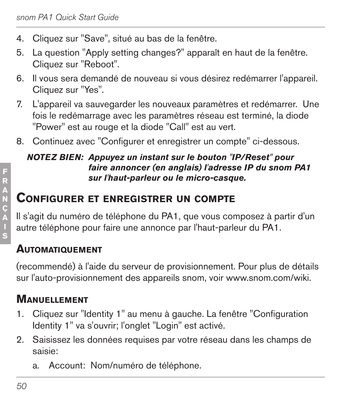- 4. Cliquez sur "Save", situé au bas de la fenêtre.
- 5. La question "Apply setting changes?" apparaît en haut de la fenêtre. Cliquez sur "Reboot".
- 6. Il vous sera demandé de nouveau si vous désirez redémarrer l'appareil. Cliquez sur "Yes".
- 7. L'appareil va sauvegarder les nouveaux paramètres et redémarrer. Une fois le redémarrage avec les paramètres réseau est terminé, la diode "Power" est au rouge et la diode "Call" est au vert.
- 8. Continuez avec "Configurer et enregistrer un compte" ci-dessous.

#### *NOTEZ BIEN: Appuyez un instant sur le bouton "IP/Reset" pour faire annoncer (en anglais) l'adresse IP du snom PA1 sur l'haut-parleur ou le micro-casque.*

### **Configurer et enregistrer un compte**

Il s'agit du numéro de téléphone du PA1, que vous composez à partir d'un autre téléphone pour faire une annonce par l'haut-parleur du PA1.

#### **Automatiquement**

(recommendé) à l'aide du serveur de provisionnement. Pour plus de détails sur l'auto-provisionnement des appareils snom, voir www.snom.com/wiki.

#### **MANUELLEMENT**

- 1. Cliquez sur "Identity 1" au menu à gauche. La fenêtre "Configuration Identity 1" va s'ouvrir; l'onglet "Login" est activé.
- 2. Saisissez les données requises par votre réseau dans les champs de saisie:
	- a. Account: Nom/numéro de téléphone.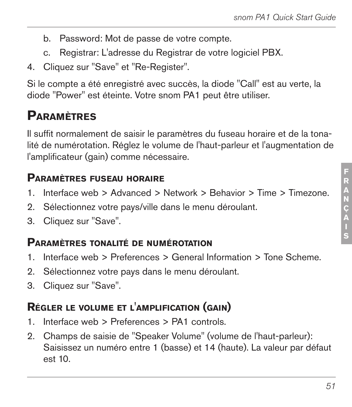- b. Password: Mot de passe de votre compte.
- c. Registrar: L'adresse du Registrar de votre logiciel PBX.
- 4. Cliquez sur "Save" et "Re-Register".

Si le compte a été enregistré avec succès, la diode "Call" est au verte, la diode "Power" est éteinte. Votre snom PA1 peut être utiliser.

# **Paramètres**

Il suffit normalement de saisir le paramètres du fuseau horaire et de la tonalité de numérotation. Réglez le volume de l'haut-parleur et l'augmentation de l'amplificateur (gain) comme nécessaire.

### **Paramètres fuseau horaire**

- 1. Interface web > Advanced > Network > Behavior > Time > Timezone.
- 2. Sélectionnez votre pays/ville dans le menu déroulant.
- 3. Cliquez sur "Save".

### **Paramètres tonalité de numérotation**

- 1. Interface web > Preferences > General Information > Tone Scheme.
- 2. Sélectionnez votre pays dans le menu déroulant.
- 3. Cliquez sur "Save".

## **Régler le volume et <sup>l</sup>'amplification (gain)**

- 1. Interface web > Preferences > PA1 controls.
- 2. Champs de saisie de "Speaker Volume" (volume de l'haut-parleur): Saisissez un numéro entre 1 (basse) et 14 (haute). La valeur par défaut est 10.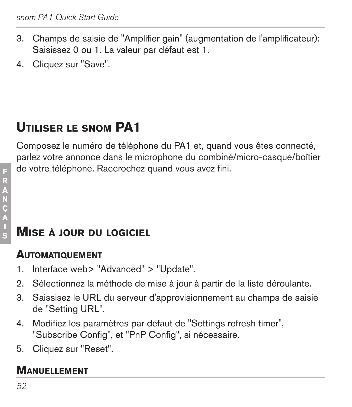- 3. Champs de saisie de "Amplifier gain" (augmentation de l'amplificateur): Saisissez 0 ou 1. La valeur par défaut est 1.
- 4. Cliquez sur "Save".

## **Utiliser le snom PA1**

Composez le numéro de téléphone du PA1 et, quand vous êtes connecté, parlez votre annonce dans le microphone du combiné/micro-casque/boîtier de votre téléphone. Raccrochez quand vous avez fini.

## **Mise à jour du logiciel**

#### **Automatiquement**

- 1. Interface web> "Advanced" > "Update".
- 2. Sélectionnez la méthode de mise à jour à partir de la liste déroulante.
- 3. Saissisez le URL du serveur d'approvisionnement au champs de saisie de "Setting URL".
- 4. Modifiez les paramètres par défaut de "Settings refresh timer", "Subscribe Config", et "PnP Config", si nécessaire.
- 5. Cliquez sur "Reset".

### **MANUELLEMENT**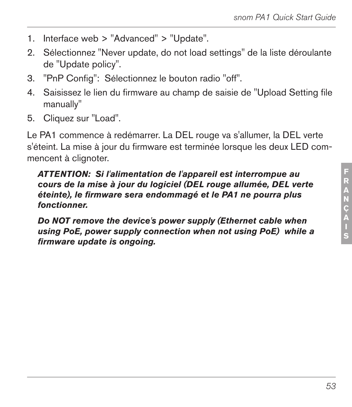- 1. Interface web > "Advanced" > "Update".
- 2. Sélectionnez "Never update, do not load settings" de la liste déroulante de "Update policy".
- 3. "PnP Config": Sélectionnez le bouton radio "off".
- 4. Saisissez le lien du firmware au champ de saisie de "Upload Setting file manually"
- 5. Cliquez sur "Load".

Le PA1 commence à redémarrer. La DEL rouge va s'allumer, la DEL verte s'éteint. La mise à jour du firmware est terminée lorsque les deux LED commencent à clignoter.

*ATTENTION: Si l'alimentation de l'appareil est interrompue au cours de la mise à jour du logiciel (DEL rouge allumée, DEL verte éteinte), le firmware sera endommagé et le PA1 ne pourra plus fonctionner.*

*Do NOT remove the device's power supply (Ethernet cable when using PoE, power supply connection when not using PoE) while a firmware update is ongoing.*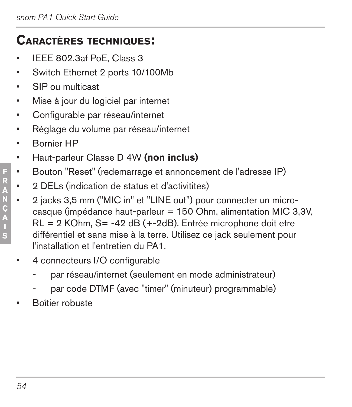## **Caractères techniques:**

- IEEE 802.3af PoE, Class 3
- Switch Ethernet 2 ports 10/100Mb
- SIP ou multicast
- Mise à jour du logiciel par internet
- Configurable par réseau/internet
- Réglage du volume par réseau/internet
- Bornier HP
- Haut-parleur Classe D 4W **(non inclus)**
- Bouton "Reset" (redemarrage et annoncement de l'adresse IP)
	- 2 DELs (indication de status et d'activitités)
- 2 jacks 3,5 mm ("MIC in" et "LINE out") pour connecter un microcasque (impédance haut-parleur = 150 Ohm, alimentation MIC 3,3V, RL = 2 KOhm, S= -42 dB (+-2dB). Entrée microphone doit etre différentiel et sans mise à la terre. Utilisez ce jack seulement pour l'installation et l'entretien du PA1.
- 4 connecteurs I/O configurable
	- par réseau/internet (seulement en mode administrateur)
	- par code DTMF (avec "timer" (minuteur) programmable)
- Boîtier robuste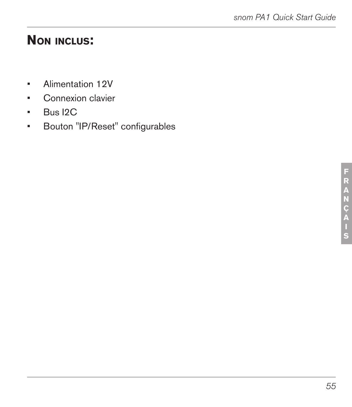## **NON iNclus:**

- Alimentation 12V
- Connexion clavier
- Bus I2C
- Bouton "IP/Reset" configurables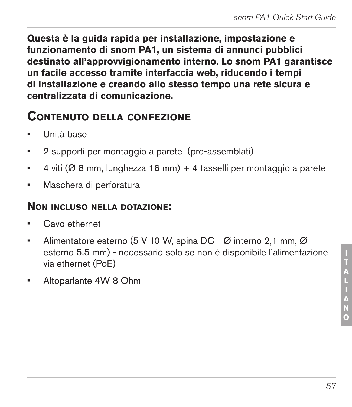**Questa è la guida rapida per installazione, impostazione e funzionamento di snom PA1, un sistema di annunci pubblici destinato all'approvvigionamento interno. Lo snom PA1 garantisce un facile accesso tramite interfaccia web, riducendo i tempi di installazione e creando allo stesso tempo una rete sicura e centralizzata di comunicazione.**

## **Contenuto della confezione**

- Unità base
- 2 supporti per montaggio a parete (pre-assemblati)
- $\bullet$  4 viti ( $\oslash$  8 mm, lunghezza 16 mm) + 4 tasselli per montaggio a parete
- Maschera di perforatura

#### **Non incluso nella dotazione:**

- Cavo ethernet
- Alimentatore esterno (5 V 10 W, spina DC Ø interno 2,1 mm, Ø esterno 5,5 mm) - necessario solo se non è disponibile l'alimentazione via ethernet (PoE)
- Altoparlante 4W 8 Ohm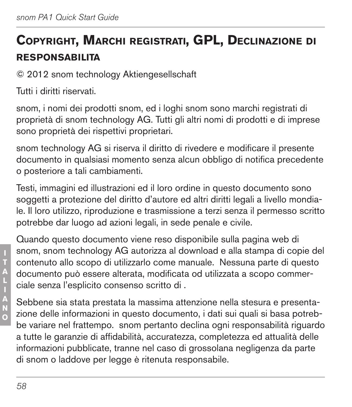## **Copyright, Marchi registrati, GPL, Declinazione di responsabilita**

© 2012 snom technology Aktiengesellschaft

Tutti i diritti riservati.

snom, i nomi dei prodotti snom, ed i loghi snom sono marchi registrati di proprietà di snom technology AG. Tutti gli altri nomi di prodotti e di imprese sono proprietà dei rispettivi proprietari.

snom technology AG si riserva il diritto di rivedere e modificare il presente documento in qualsiasi momento senza alcun obbligo di notifica precedente o posteriore a tali cambiamenti.

Testi, immagini ed illustrazioni ed il loro ordine in questo documento sono soggetti a protezione del diritto d'autore ed altri diritti legali a livello mondiale. Il loro utilizzo, riproduzione e trasmissione a terzi senza il permesso scritto potrebbe dar luogo ad azioni legali, in sede penale e civile.

**I T A L I A N O**

Quando questo documento viene reso disponibile sulla pagina web di snom, snom technology AG autorizza al download e alla stampa di copie del contenuto allo scopo di utilizzarlo come manuale. Nessuna parte di questo documento può essere alterata, modificata od utilizzata a scopo commerciale senza l'esplicito consenso scritto di .

Sebbene sia stata prestata la massima attenzione nella stesura e presentazione delle informazioni in questo documento, i dati sui quali si basa potrebbe variare nel frattempo. snom pertanto declina ogni responsabilità riguardo a tutte le garanzie di affidabilità, accuratezza, completezza ed attualità delle informazioni pubblicate, tranne nel caso di grossolana negligenza da parte di snom o laddove per legge è ritenuta responsabile.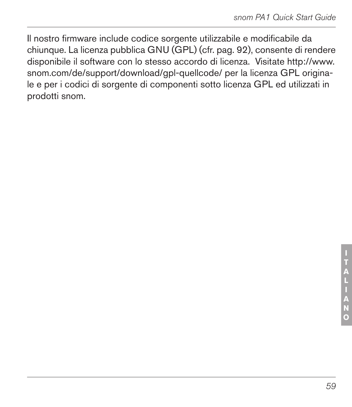Il nostro firmware include codice sorgente utilizzabile e modificabile da chiunque. La licenza pubblica GNU (GPL) (cfr. pag. 92), consente di rendere disponibile il software con lo stesso accordo di licenza. Visitate http://www. snom.com/de/support/download/gpl-quellcode/ per la licenza GPL originale e per i codici di sorgente di componenti sotto licenza GPL ed utilizzati in prodotti snom.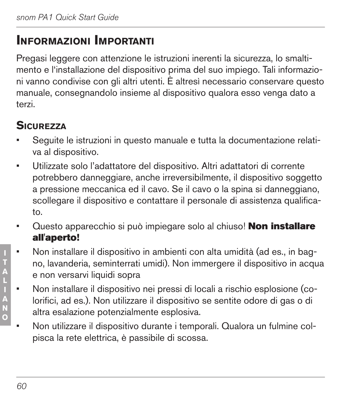## **Informazioni Importanti**

Pregasi leggere con attenzione le istruzioni inerenti la sicurezza, lo smaltimento e l'installazione del dispositivo prima del suo impiego. Tali informazioni vanno condivise con gli altri utenti. È altresì necessario conservare questo manuale, consegnandolo insieme al dispositivo qualora esso venga dato a terzi.

### **Sicurezza**

- Seguite le istruzioni in questo manuale e tutta la documentazione relativa al dispositivo.
- Utilizzate solo l'adattatore del dispositivo. Altri adattatori di corrente potrebbero danneggiare, anche irreversibilmente, il dispositivo soggetto a pressione meccanica ed il cavo. Se il cavo o la spina si danneggiano, scollegare il dispositivo e contattare il personale di assistenza qualificato.
- Questo apparecchio si può impiegare solo al chiuso! **Non installare** all'aperto!
- Non installare il dispositivo in ambienti con alta umidità (ad es., in bagno, lavanderia, seminterrati umidi). Non immergere il dispositivo in acqua e non versarvi liquidi sopra
- Non installare il dispositivo nei pressi di locali a rischio esplosione (colorifici, ad es.). Non utilizzare il dispositivo se sentite odore di gas o di altra esalazione potenzialmente esplosiva.
- Non utilizzare il dispositivo durante i temporali. Qualora un fulmine colpisca la rete elettrica, è passibile di scossa.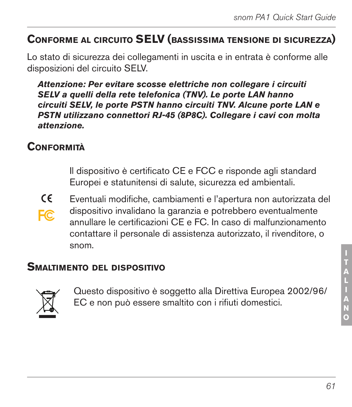### **Conforme al circuito SELV (bassissima tensione di sicurezza)**

Lo stato di sicurezza dei collegamenti in uscita e in entrata è conforme alle disposizioni del circuito SELV.

*Attenzione: Per evitare scosse elettriche non collegare i circuiti SELV a quelli della rete telefonica (TNV). Le porte LAN hanno circuiti SELV, le porte PSTN hanno circuiti TNV. Alcune porte LAN e PSTN utilizzano connettori RJ-45 (8P8C). Collegare i cavi con molta attenzione.*

### **CONFORMITÀ**

Il dispositivo è certificato CE e FCC e risponde agli standard Europei e statunitensi di salute, sicurezza ed ambientali.

- $\epsilon$ **FC**
- Eventuali modifiche, cambiamenti e l'apertura non autorizzata del dispositivo invalidano la garanzia e potrebbero eventualmente annullare le certificazioni CE e FC. In caso di malfunzionamento contattare il personale di assistenza autorizzato, il rivenditore, o snom.

#### **Smaltimento del dispositivo**



Questo dispositivo è soggetto alla Direttiva Europea 2002/96/ EC e non può essere smaltito con i rifiuti domestici.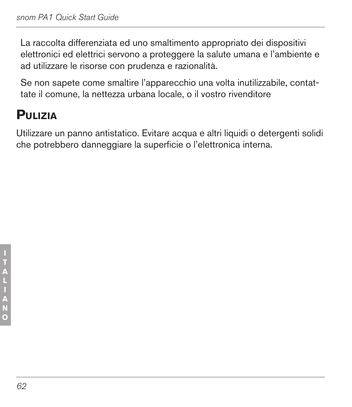La raccolta differenziata ed uno smaltimento appropriato dei dispositivi elettronici ed elettrici servono a proteggere la salute umana e l'ambiente e ad utilizzare le risorse con prudenza e razionalità.

Se non sapete come smaltire l'apparecchio una volta inutilizzabile, contattate il comune, la nettezza urbana locale, o il vostro rivenditore

## **Pulizia**

Utilizzare un panno antistatico. Evitare acqua e altri liquidi o detergenti solidi che potrebbero danneggiare la superficie o l'elettronica interna.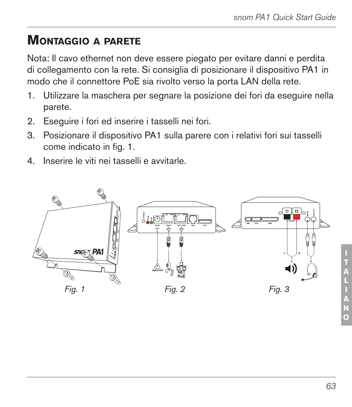## **Montaggio <sup>a</sup> parete**

Nota: Il cavo ethernet non deve essere piegato per evitare danni e perdita di collegamento con la rete. Si consiglia di posizionare il dispositivo PA1 in modo che il connettore PoE sia rivolto verso la porta LAN della rete.

- 1. Utilizzare la maschera per segnare la posizione dei fori da eseguire nella parete.
- 2. Eseguire i fori ed inserire i tasselli nei fori.
- 3. Posizionare il dispositivo PA1 sulla parere con i relativi fori sui tasselli come indicato in fig. 1.
- 4. Inserire le viti nei tasselli e avvitarle.

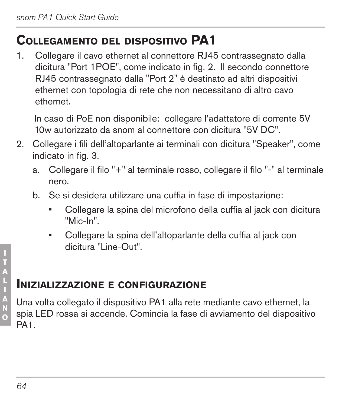## **Collegamento del dispositivo PA1**

1. Collegare il cavo ethernet al connettore RJ45 contrassegnato dalla dicitura "Port 1POE", come indicato in fig. 2. Il secondo connettore RJ45 contrassegnato dalla "Port 2" è destinato ad altri dispositivi ethernet con topologia di rete che non necessitano di altro cavo ethernet.

In caso di PoE non disponibile: collegare l'adattatore di corrente 5V 10w autorizzato da snom al connettore con dicitura "5V DC".

- 2. Collegare i fili dell'altoparlante ai terminali con dicitura "Speaker", come indicato in fig. 3.
	- a. Collegare il filo "+" al terminale rosso, collegare il filo "-" al terminale nero.
	- b. Se si desidera utilizzare una cuffia in fase di impostazione:
		- Collegare la spina del microfono della cuffia al jack con dicitura "Mic-In".
		- Collegare la spina dell'altoparlante della cuffia al jack con dicitura "Line-Out".

### **Inizializzazione <sup>e</sup> configurazione**

Una volta collegato il dispositivo PA1 alla rete mediante cavo ethernet, la spia LED rossa si accende. Comincia la fase di avviamento del dispositivo PA1.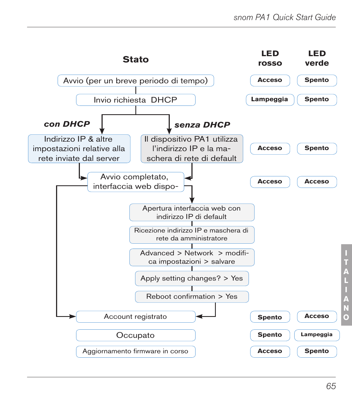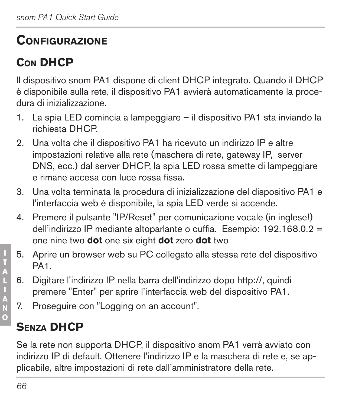## **Configurazione**

## **Con DHCP**

Il dispositivo snom PA1 dispone di client DHCP integrato. Quando il DHCP è disponibile sulla rete, il dispositivo PA1 avvierà automaticamente la procedura di inizializzazione.

- 1. La spia LED comincia a lampeggiare il dispositivo PA1 sta inviando la richiesta DHCP.
- 2. Una volta che il dispositivo PA1 ha ricevuto un indirizzo IP e altre impostazioni relative alla rete (maschera di rete, gateway IP, server DNS, ecc.) dal server DHCP, la spia LED rossa smette di lampeggiare e rimane accesa con luce rossa fissa.
- 3. Una volta terminata la procedura di inizializzazione del dispositivo PA1 e l'interfaccia web è disponibile, la spia LED verde si accende.
- 4. Premere il pulsante "IP/Reset" per comunicazione vocale (in inglese!) dell'indirizzo IP mediante altoparlante o cuffia. Esempio: 192.168.0.2 = one nine two **dot** one six eight **dot** zero **dot** two
- 5. Aprire un browser web su PC collegato alla stessa rete del dispositivo PA1.
- 6. Digitare l'indirizzo IP nella barra dell'indirizzo dopo http://, quindi premere "Enter" per aprire l'interfaccia web del dispositivo PA1.
- 7. Proseguire con "Logging on an account".

## **Senza DHCP**

Se la rete non supporta DHCP, il dispositivo snom PA1 verrà avviato con indirizzo IP di default. Ottenere l'indirizzo IP e la maschera di rete e, se applicabile, altre impostazioni di rete dall'amministratore della rete.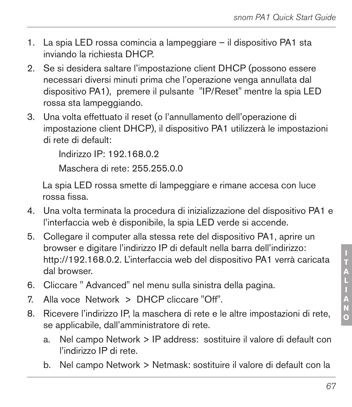- 1. La spia LED rossa comincia a lampeggiare il dispositivo PA1 sta inviando la richiesta DHCP.
- 2. Se si desidera saltare l'impostazione client DHCP (possono essere necessari diversi minuti prima che l'operazione venga annullata dal dispositivo PA1), premere il pulsante "IP/Reset" mentre la spia LED rossa sta lampeggiando.
- 3. Una volta effettuato il reset (o l'annullamento dell'operazione di impostazione client DHCP), il dispositivo PA1 utilizzerà le impostazioni di rete di default:

Indirizzo IP: 192.168.0.2

Maschera di rete: 255.255.0.0

 La spia LED rossa smette di lampeggiare e rimane accesa con luce rossa fissa.

- 4. Una volta terminata la procedura di inizializzazione del dispositivo PA1 e l'interfaccia web è disponibile, la spia LED verde si accende.
- 5. Collegare il computer alla stessa rete del dispositivo PA1, aprire un browser e digitare l'indirizzo IP di default nella barra dell'indirizzo: http://192.168.0.2. L'interfaccia web del dispositivo PA1 verrà caricata dal browser.
- 6. Cliccare " Advanced" nel menu sulla sinistra della pagina.
- 7. Alla voce Network > DHCP cliccare "Off".
- 8. Ricevere l'indirizzo IP, la maschera di rete e le altre impostazioni di rete, se applicabile, dall'amministratore di rete.
	- a. Nel campo Network > IP address: sostituire il valore di default con l'indirizzo IP di rete.
	- b. Nel campo Network > Netmask: sostituire il valore di default con la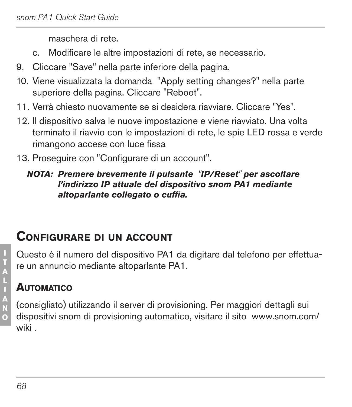maschera di rete.

- c. Modificare le altre impostazioni di rete, se necessario.
- 9. Cliccare "Save" nella parte inferiore della pagina.
- 10. Viene visualizzata la domanda "Apply setting changes?" nella parte superiore della pagina. Cliccare "Reboot".
- 11. Verrà chiesto nuovamente se si desidera riavviare. Cliccare "Yes".
- 12. Il dispositivo salva le nuove impostazione e viene riavviato. Una volta terminato il riavvio con le impostazioni di rete, le spie LED rossa e verde rimangono accese con luce fissa
- 13. Proseguire con "Configurare di un account".

#### *NOTA: Premere brevemente il pulsante "IP/Reset" per ascoltare l'indirizzo IP attuale del dispositivo snom PA1 mediante altoparlante collegato o cuffia.*

### **Configurare di un account**

Questo è il numero del dispositivo PA1 da digitare dal telefono per effettuare un annuncio mediante altoparlante PA1.

**O**

### **Automatico**

(consigliato) utilizzando il server di provisioning. Per maggiori dettagli sui dispositivi snom di provisioning automatico, visitare il sito www.snom.com/ wiki .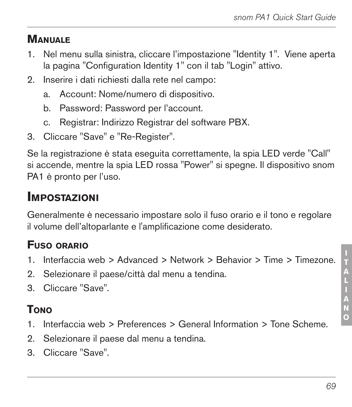### **Manuale**

- 1. Nel menu sulla sinistra, cliccare l'impostazione "Identity 1". Viene aperta la pagina "Configuration Identity 1" con il tab "Login" attivo.
- 2. Inserire i dati richiesti dalla rete nel campo:
	- a. Account: Nome/numero di dispositivo.
	- b. Password: Password per l'account.
	- c. Registrar: Indirizzo Registrar del software PBX.
- 3. Cliccare "Save" e "Re-Register".

Se la registrazione è stata eseguita correttamente, la spia LED verde "Call" si accende, mentre la spia LED rossa "Power" si spegne. Il dispositivo snom PA1 è pronto per l'uso.

### **Impostazioni**

Generalmente è necessario impostare solo il fuso orario e il tono e regolare il volume dell'altoparlante e l'amplificazione come desiderato.

### **Fuso orario**

- 1. Interfaccia web > Advanced > Network > Behavior > Time > Timezone.
- 2. Selezionare il paese/città dal menu a tendina.
- 3. Cliccare "Save".

### **Tono**

- 1. Interfaccia web > Preferences > General Information > Tone Scheme.
- 2. Selezionare il paese dal menu a tendina.
- 3. Cliccare "Save".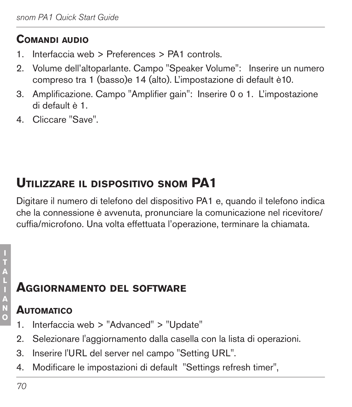### **Comandi audio**

- 1. Interfaccia web > Preferences > PA1 controls.
- 2. Volume dell'altoparlante. Campo "Speaker Volume": Inserire un numero compreso tra 1 (basso)e 14 (alto). L'impostazione di default è10.
- 3. Amplificazione. Campo "Amplifier gain": Inserire 0 o 1. L'impostazione di default è 1.
- 4. Cliccare "Save".

## **Utilizzare il dispositivo snom PA1**

Digitare il numero di telefono del dispositivo PA1 e, quando il telefono indica che la connessione è avvenuta, pronunciare la comunicazione nel ricevitore/ cuffia/microfono. Una volta effettuata l'operazione, terminare la chiamata.

**O**

## **Aggiornamento del software**

### **Automatico**

- 1. Interfaccia web > "Advanced" > "Update"
- 2. Selezionare l'aggiornamento dalla casella con la lista di operazioni.
- 3. Inserire l'URL del server nel campo "Setting URL".
- 4. Modificare le impostazioni di default "Settings refresh timer",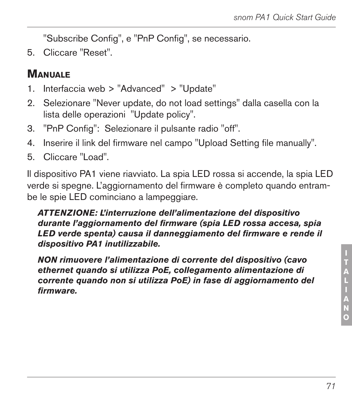"Subscribe Config", e "PnP Config", se necessario.

5. Cliccare "Reset".

### **Manuale**

- 1. Interfaccia web > "Advanced" > "Update"
- 2. Selezionare "Never update, do not load settings" dalla casella con la lista delle operazioni "Update policy".
- 3. "PnP Config": Selezionare il pulsante radio "off".
- 4. Inserire il link del firmware nel campo "Upload Setting file manually".
- 5. Cliccare "Load".

Il dispositivo PA1 viene riavviato. La spia LED rossa si accende, la spia LED verde si spegne. L'aggiornamento del firmware è completo quando entrambe le spie LED cominciano a lampeggiare.

*ATTENZIONE: L'interruzione dell'alimentazione del dispositivo durante l'aggiornamento del firmware (spia LED rossa accesa, spia LED verde spenta) causa il danneggiamento del firmware e rende il dispositivo PA1 inutilizzabile.* 

*NON rimuovere l'alimentazione di corrente del dispositivo (cavo ethernet quando si utilizza PoE, collegamento alimentazione di corrente quando non si utilizza PoE) in fase di aggiornamento del firmware.*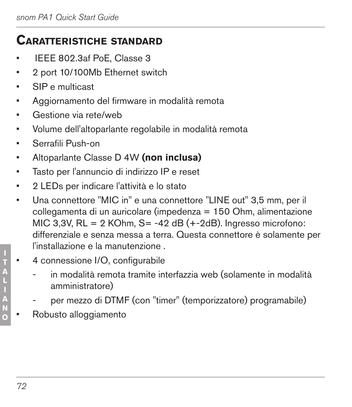## **Caratteristiche standard**

- IEEE 802.3af PoE, Classe 3
- 2 port 10/100Mb Ethernet switch
- SIP e multicast
- Aggiornamento del firmware in modalità remota
- Gestione via rete/web
- Volume dell'altoparlante regolabile in modalità remota
- Serrafili Push-on
- Altoparlante Classe D 4W **(non inclusa)**
- Tasto per l'annuncio di indirizzo IP e reset
- 2 LEDs per indicare l'attività e lo stato
- Una connettore "MIC in" e una connettore "LINE out" 3,5 mm, per il collegamenta di un auricolare (impedenza = 150 Ohm, alimentazione MIC 3,3V,  $RL = 2$  KOhm,  $S = -42$  dB  $(+ -2dB)$ . Ingresso microfono: differenziale e senza messa a terra. Questa connettore è solamente per l'installazione e la manutenzione .

- 4 connessione I/O, configurabile
	- in modalità remota tramite interfazzia web (solamente in modalità amministratore)
	- per mezzo di DTMF (con "timer" (temporizzatore) programabile)
- Robusto alloggiamento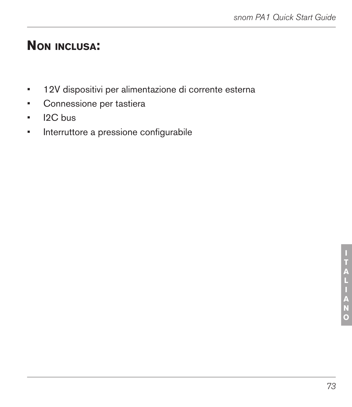## **NON iNclusa:**

- 12V dispositivi per alimentazione di corrente esterna
- Connessione per tastiera
- I2C bus
- Interruttore a pressione configurabile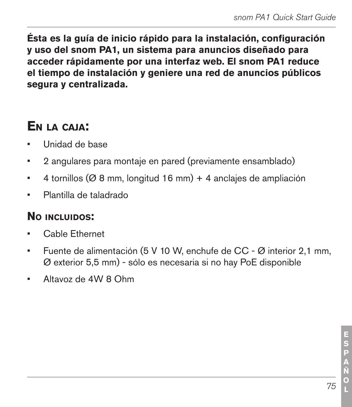**Ésta es la guía de inicio rápido para la instalación, configuración y uso del snom PA1, un sistema para anuncios diseñado para acceder rápidamente por una interfaz web. El snom PA1 reduce el tiempo de instalación y geniere una red de anuncios públicos segura y centralizada.**

## **En la caja:**

- Unidad de base
- 2 angulares para montaje en pared (previamente ensamblado)
- $\bullet$  4 tornillos (Ø 8 mm, longitud 16 mm) + 4 anclajes de ampliación
- Plantilla de taladrado

### **No incluidos:**

- Cable Ethernet
- Fuente de alimentación (5 V 10 W, enchufe de CC Ø interior 2,1 mm, Ø exterior 5,5 mm) - sólo es necesaria si no hay PoE disponible
- Altavoz de 4W 8 Ohm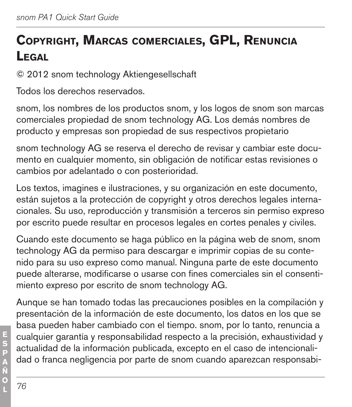# **Copyright, Marcas comerciales, GPL, Renuncia Legal**

© 2012 snom technology Aktiengesellschaft

Todos los derechos reservados.

snom, los nombres de los productos snom, y los logos de snom son marcas comerciales propiedad de snom technology AG. Los demás nombres de producto y empresas son propiedad de sus respectivos propietario

snom technology AG se reserva el derecho de revisar y cambiar este documento en cualquier momento, sin obligación de notificar estas revisiones o cambios por adelantado o con posterioridad.

Los textos, imagines e ilustraciones, y su organización en este documento, están sujetos a la protección de copyright y otros derechos legales internacionales. Su uso, reproducción y transmisión a terceros sin permiso expreso por escrito puede resultar en procesos legales en cortes penales y civiles.

Cuando este documento se haga público en la página web de snom, snom technology AG da permiso para descargar e imprimir copias de su contenido para su uso expreso como manual. Ninguna parte de este documento puede alterarse, modificarse o usarse con fines comerciales sin el consentimiento expreso por escrito de snom technology AG.

Aunque se han tomado todas las precauciones posibles en la compilación y presentación de la información de este documento, los datos en los que se basa pueden haber cambiado con el tiempo. snom, por lo tanto, renuncia a cualquier garantía y responsabilidad respecto a la precisión, exhaustividad y actualidad de la información publicada, excepto en el caso de intencionalidad o franca negligencia por parte de snom cuando aparezcan responsabi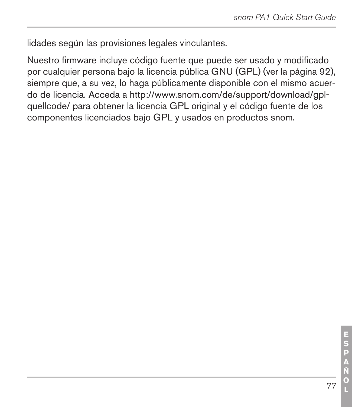lidades según las provisiones legales vinculantes.

Nuestro firmware incluye código fuente que puede ser usado y modificado por cualquier persona bajo la licencia pública GNU (GPL) (ver la página 92), siempre que, a su vez, lo haga públicamente disponible con el mismo acuerdo de licencia. Acceda a http://www.snom.com/de/support/download/gplquellcode/ para obtener la licencia GPL original y el código fuente de los componentes licenciados bajo GPL y usados en productos snom.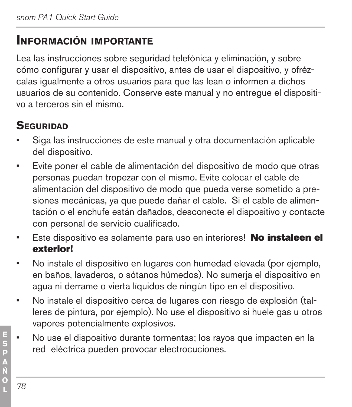## **Información importante**

Lea las instrucciones sobre seguridad telefónica y eliminación, y sobre cómo configurar y usar el dispositivo, antes de usar el dispositivo, y ofrézcalas igualmente a otros usuarios para que las lean o informen a dichos usuarios de su contenido. Conserve este manual y no entregue el dispositivo a terceros sin el mismo.

### **SEGURIDAD**

- Siga las instrucciones de este manual y otra documentación aplicable del dispositivo.
- Evite poner el cable de alimentación del dispositivo de modo que otras personas puedan tropezar con el mismo. Evite colocar el cable de alimentación del dispositivo de modo que pueda verse sometido a presiones mecánicas, ya que puede dañar el cable. Si el cable de alimentación o el enchufe están dañados, desconecte el dispositivo y contacte con personal de servicio cualificado.
- Este dispositivo es solamente para uso en interiores! No instaleen el exterior!
- No instale el dispositivo en lugares con humedad elevada (por ejemplo, en baños, lavaderos, o sótanos húmedos). No sumerja el dispositivo en agua ni derrame o vierta líquidos de ningún tipo en el dispositivo.
- No instale el dispositivo cerca de lugares con riesgo de explosión (talleres de pintura, por ejemplo). No use el dispositivo si huele gas u otros vapores potencialmente explosivos.
- No use el dispositivo durante tormentas; los rayos que impacten en la red eléctrica pueden provocar electrocuciones.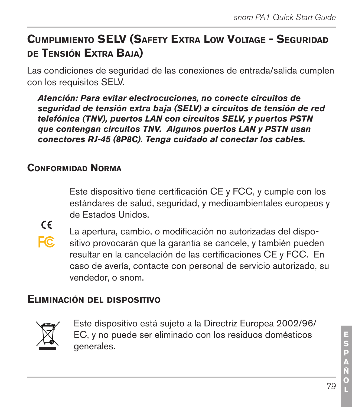### **Cumplimiento SELV (Safety Extra Low Voltage - Seguridad de Tensión Extra Baja)**

Las condiciones de seguridad de las conexiones de entrada/salida cumplen con los requisitos SELV.

*Atención: Para evitar electrocuciones, no conecte circuitos de seguridad de tensión extra baja (SELV) a circuitos de tensión de red telefónica (TNV), puertos LAN con circuitos SELV, y puertos PSTN que contengan circuitos TNV. Algunos puertos LAN y PSTN usan conectores RJ-45 (8P8C). Tenga cuidado al conectar los cables.*

#### **Conformidad Norma**

Este dispositivo tiene certificación CE y FCC, y cumple con los estándares de salud, seguridad, y medioambientales europeos y de Estados Unidos.

 $\epsilon$ FC.

La apertura, cambio, o modificación no autorizadas del dispositivo provocarán que la garantía se cancele, y también pueden resultar en la cancelación de las certificaciones CE y FCC. En caso de avería, contacte con personal de servicio autorizado, su vendedor, o snom.

#### **Eliminación del dispositivo**



Este dispositivo está sujeto a la Directriz Europea 2002/96/ EC, y no puede ser eliminado con los residuos domésticos generales.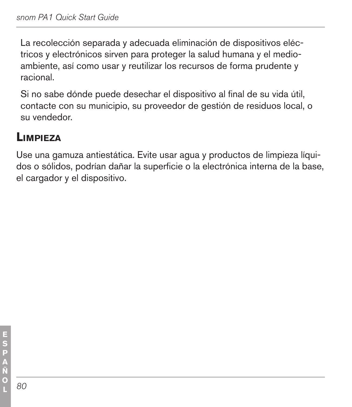La recolección separada y adecuada eliminación de dispositivos eléctricos y electrónicos sirven para proteger la salud humana y el medioambiente, así como usar y reutilizar los recursos de forma prudente y racional.

Si no sabe dónde puede desechar el dispositivo al final de su vida útil, contacte con su municipio, su proveedor de gestión de residuos local, o su vendedor.

### **Limpieza**

Use una gamuza antiestática. Evite usar agua y productos de limpieza líquidos o sólidos, podrían dañar la superficie o la electrónica interna de la base, el cargador y el dispositivo.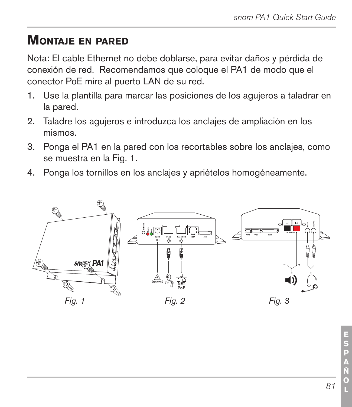## **Montaje en pared**

Nota: El cable Ethernet no debe doblarse, para evitar daños y pérdida de conexión de red. Recomendamos que coloque el PA1 de modo que el conector PoE mire al puerto LAN de su red.

- 1. Use la plantilla para marcar las posiciones de los agujeros a taladrar en la pared.
- 2. Taladre los agujeros e introduzca los anclajes de ampliación en los mismos.
- 3. Ponga el PA1 en la pared con los recortables sobre los anclajes, como se muestra en la Fig. 1.
- 4. Ponga los tornillos en los anclajes y apriételos homogéneamente.

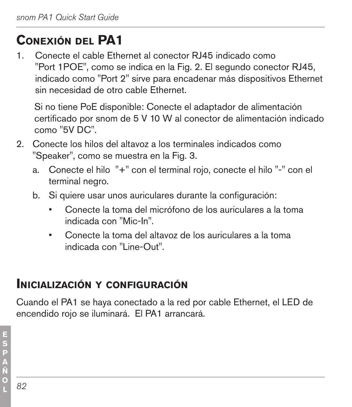# **Conexión del PA1**

1. Conecte el cable Ethernet al conector RJ45 indicado como "Port 1POE", como se indica en la Fig. 2. El segundo conector RJ45, indicado como "Port 2" sirve para encadenar más dispositivos Ethernet sin necesidad de otro cable Ethernet.

Si no tiene PoE disponible: Conecte el adaptador de alimentación certificado por snom de 5 V 10 W al conector de alimentación indicado como "5V DC".

- 2. Conecte los hilos del altavoz a los terminales indicados como "Speaker", como se muestra en la Fig. 3.
	- a. Conecte el hilo "+" con el terminal rojo, conecte el hilo "-" con el terminal negro.
	- b. Si quiere usar unos auriculares durante la configuración:
		- Conecte la toma del micrófono de los auriculares a la toma indicada con "Mic-In".
		- Conecte la toma del altavoz de los auriculares a la toma indicada con "Line-Out".

## **Inicialización <sup>y</sup> configuración**

Cuando el PA1 se haya conectado a la red por cable Ethernet, el LED de encendido rojo se iluminará. El PA1 arrancará.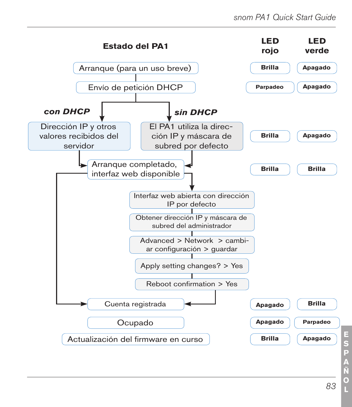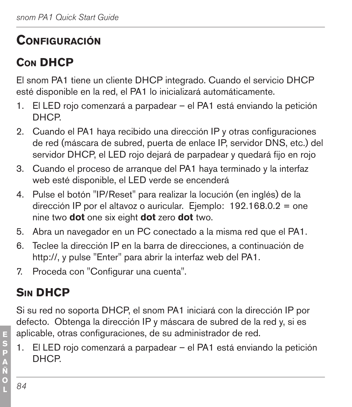# **Configuración**

## **Con DHCP**

El snom PA1 tiene un cliente DHCP integrado. Cuando el servicio DHCP esté disponible en la red, el PA1 lo inicializará automáticamente.

- 1. El LED rojo comenzará a parpadear el PA1 está enviando la petición DHCP.
- 2. Cuando el PA1 haya recibido una dirección IP y otras configuraciones de red (máscara de subred, puerta de enlace IP, servidor DNS, etc.) del servidor DHCP, el LED rojo dejará de parpadear y quedará fijo en rojo
- 3. Cuando el proceso de arranque del PA1 haya terminado y la interfaz web esté disponible, el LED verde se encenderá
- 4. Pulse el botón "IP/Reset" para realizar la locución (en inglés) de la dirección IP por el altavoz o auricular. Ejemplo: 192.168.0.2 = one nine two **dot** one six eight **dot** zero **dot** two.
- 5. Abra un navegador en un PC conectado a la misma red que el PA1.
- 6. Teclee la dirección IP en la barra de direcciones, a continuación de http://, y pulse "Enter" para abrir la interfaz web del PA1.
- 7. Proceda con "Configurar una cuenta".

# **Sin DHCP**

Si su red no soporta DHCP, el snom PA1 iniciará con la dirección IP por defecto. Obtenga la dirección IP y máscara de subred de la red y, si es aplicable, otras configuraciones, de su administrador de red.

1. El LED rojo comenzará a parpadear – el PA1 está enviando la petición DHCP.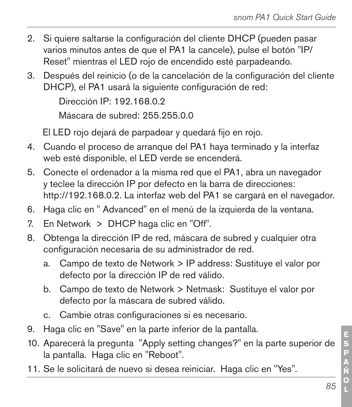- 2. Si quiere saltarse la configuración del cliente DHCP (pueden pasar varios minutos antes de que el PA1 la cancele), pulse el botón "IP/ Reset" mientras el LED rojo de encendido esté parpadeando.
- 3. Después del reinicio (o de la cancelación de la configuración del cliente DHCP), el PA1 usará la siguiente configuración de red:

Dirección IP: 192.168.0.2

Máscara de subred: 255.255.0.0

El LED rojo dejará de parpadear y quedará fijo en rojo.

- 4. Cuando el proceso de arranque del PA1 haya terminado y la interfaz web esté disponible, el LED verde se encenderá.
- 5. Conecte el ordenador a la misma red que el PA1, abra un navegador y teclee la dirección IP por defecto en la barra de direcciones: http://192.168.0.2. La interfaz web del PA1 se cargará en el navegador.
- 6. Haga clic en " Advanced" en el menú de la izquierda de la ventana.
- 7. En Network > DHCP haga clic en "Off".
- 8. Obtenga la dirección IP de red, máscara de subred y cualquier otra configuración necesaria de su administrador de red.
	- a. Campo de texto de Network > IP address: Sustituye el valor por defecto por la dirección IP de red válido.
	- b. Campo de texto de Network > Netmask: Sustituye el valor por defecto por la máscara de subred válido.
	- c. Cambie otras configuraciones si es necesario.
- 9. Haga clic en "Save" en la parte inferior de la pantalla.
- 10. Aparecerá la pregunta "Apply setting changes?" en la parte superior de la pantalla. Haga clic en "Reboot".
- 11. Se le solicitará de nuevo si desea reiniciar. Haga clic en "Yes".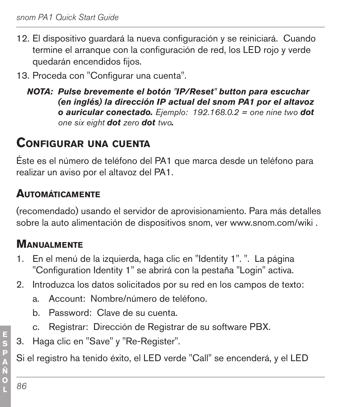- 12. El dispositivo guardará la nueva configuración y se reiniciará. Cuando termine el arranque con la configuración de red, los LED rojo y verde quedarán encendidos fijos.
- 13. Proceda con "Configurar una cuenta".
	- *NOTA: Pulse brevemente el botón "IP/Reset" button para escuchar (en inglés) la dirección IP actual del snom PA1 por el altavoz o auricular conectado. Ejemplo: 192.168.0.2 = one nine two dot one six eight dot zero dot two.*

## **Configurar una cuenta**

Éste es el número de teléfono del PA1 que marca desde un teléfono para realizar un aviso por el altavoz del PA1.

### **Automáticamente**

(recomendado) usando el servidor de aprovisionamiento. Para más detalles sobre la auto alimentación de dispositivos snom, ver www.snom.com/wiki .

### **MANUALMENTE**

- 1. En el menú de la izquierda, haga clic en "Identity 1". ". La página "Configuration Identity 1" se abrirá con la pestaña "Login" activa.
- 2. Introduzca los datos solicitados por su red en los campos de texto:
	- a. Account: Nombre/número de teléfono.
	- b. Password: Clave de su cuenta.
	- c. Registrar: Dirección de Registrar de su software PBX.
- 3. Haga clic en "Save" y "Re-Register".

Si el registro ha tenido éxito, el LED verde "Call" se encenderá, y el LED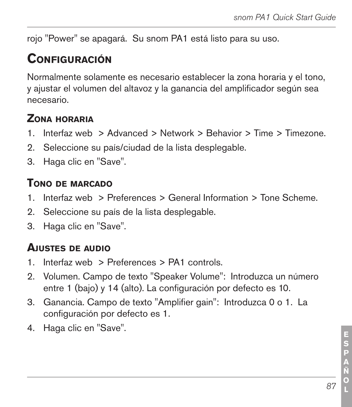rojo "Power" se apagará. Su snom PA1 está listo para su uso.

## **Configuración**

Normalmente solamente es necesario establecer la zona horaria y el tono, y ajustar el volumen del altavoz y la ganancia del amplificador según sea necesario.

## **Zona horaria**

- 1. Interfaz web > Advanced > Network > Behavior > Time > Timezone.
- 2. Seleccione su país/ciudad de la lista desplegable.
- 3. Haga clic en "Save".

### **Tono de marcado**

- 1. Interfaz web > Preferences > General Information > Tone Scheme.
- 2. Seleccione su país de la lista desplegable.
- 3. Haga clic en "Save".

### **Ajustes de audio**

- 1. Interfaz web > Preferences > PA1 controls.
- 2. Volumen. Campo de texto "Speaker Volume": Introduzca un número entre 1 (bajo) y 14 (alto). La configuración por defecto es 10.
- 3. Ganancia. Campo de texto "Amplifier gain": Introduzca 0 o 1. La configuración por defecto es 1.
- 4. Haga clic en "Save".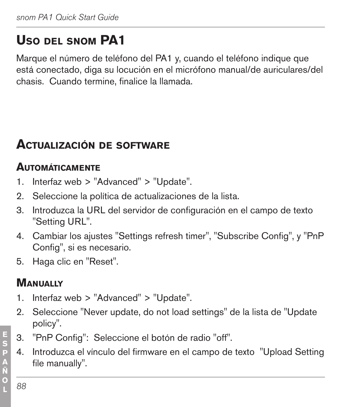## **Uso del snom PA1**

Marque el número de teléfono del PA1 y, cuando el teléfono indique que está conectado, diga su locución en el micrófono manual/de auriculares/del chasis. Cuando termine, finalice la llamada.

## **Actualización de software**

#### **Automáticamente**

- 1. Interfaz web > "Advanced" > "Update".
- 2. Seleccione la política de actualizaciones de la lista.
- 3. Introduzca la URL del servidor de configuración en el campo de texto "Setting URL".
- 4. Cambiar los ajustes "Settings refresh timer", "Subscribe Config", y "PnP Config", si es necesario.
- 5. Haga clic en "Reset".

### **MANUALLY**

- 1. Interfaz web > "Advanced" > "Update".
- 2. Seleccione "Never update, do not load settings" de la lista de "Update policy".
- 3. "PnP Config": Seleccione el botón de radio "off".
- 4. Introduzca el vínculo del firmware en el campo de texto "Upload Setting file manually".

**L**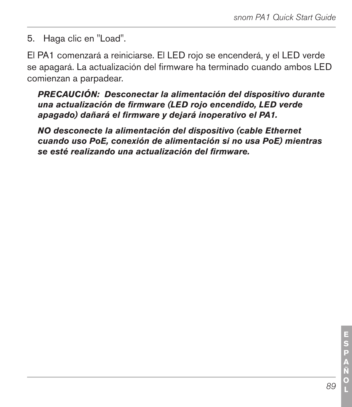5. Haga clic en "Load".

El PA1 comenzará a reiniciarse. El LED rojo se encenderá, y el LED verde se apagará. La actualización del firmware ha terminado cuando ambos LED comienzan a parpadear.

*PRECAUCIÓN: Desconectar la alimentación del dispositivo durante una actualización de firmware (LED rojo encendido, LED verde apagado) dañará el firmware y dejará inoperativo el PA1.* 

*NO desconecte la alimentación del dispositivo (cable Ethernet cuando uso PoE, conexión de alimentación si no usa PoE) mientras se esté realizando una actualización del firmware.*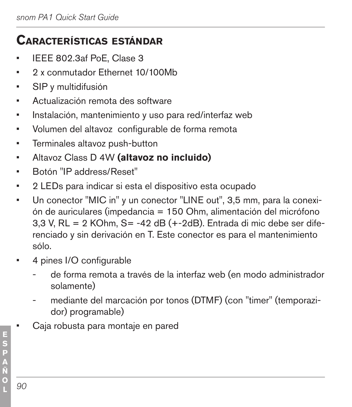## **Características estándar**

- IEEE 802.3af PoE, Clase 3
- 2 x conmutador Ethernet 10/100Mb
- SIP y multidifusión
- Actualización remota des software
- Instalación, mantenimiento y uso para red/interfaz web
- Volumen del altavoz configurable de forma remota
- Terminales altavoz push-button
- Altavoz Class D 4W **(altavoz no incluido)**
- Botón "IP address/Reset"
- 2 LEDs para indicar si esta el dispositivo esta ocupado
- Un conector "MIC in" y un conector "LINE out", 3,5 mm, para la conexión de auriculares (impedancia = 150 Ohm, alimentación del micrófono  $3.3$  V, RL = 2 KOhm, S= -42 dB (+-2dB). Entrada di mic debe ser diferenciado y sin derivación en T. Este conector es para el mantenimiento sólo.
- 4 pines I/O configurable
	- de forma remota a través de la interfaz web (en modo administrador solamente)
	- mediante del marcación por tonos (DTMF) (con "timer" (temporazidor) programable)
	- Caja robusta para montaje en pared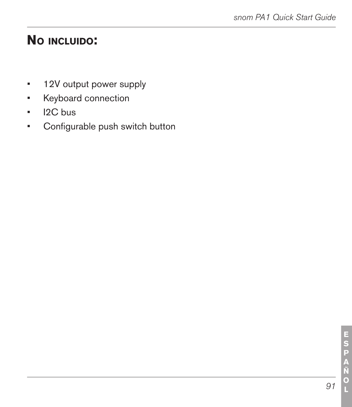## **N<sup>O</sup> iNcluiDO:**

- 12V output power supply
- Keyboard connection
- I2C bus
- Configurable push switch button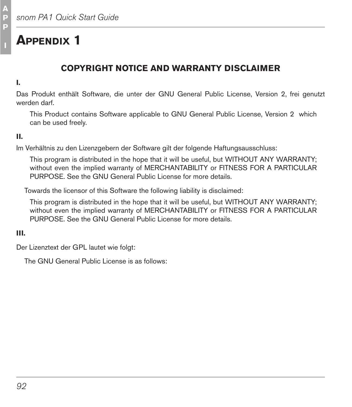# **A PPENDIX 1**

#### **COPYRIGHT NOTICE AND WARRANTY DISCLAIMER**

#### **I.**

Das Produkt enthält Software, die unter der GNU General Public License, Version 2, frei genutzt werden darf.

This Product contains Software applicable to GNU General Public License, Version 2 which can be used freely.

#### **II.**

Im Verhältnis zu den Lizenzgebern der Software gilt der folgende Haftungsausschluss:

This program is distributed in the hope that it will be useful, but WITHOUT ANY WARRANTY; without even the implied warranty of MERCHANTABILITY or FITNESS FOR A PARTICULAR PURPOSE. See the GNU General Public License for more details.

Towards the licensor of this Software the following liability is disclaimed:

This program is distributed in the hope that it will be useful, but WITHOUT ANY WARRANTY; without even the implied warranty of MERCHANTABILITY or FITNESS FOR A PARTICULAR PURPOSE. See the GNU General Public License for more details.

#### **III.**

Der Lizenztext der GPL lautet wie folgt:

The GNU General Public License is as follows:

**I**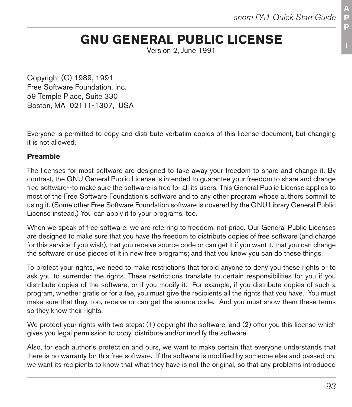## **GNU G <sup>I</sup> ENERAL PUBLIC LICENSE**

Version 2, June 1991

Copyright (C) 1989, 1991 Free Software Foundation, Inc. 59 Temple Place, Suite 330 Boston, MA 02111-1307, USA

Everyone is permitted to copy and distribute verbatim copies of this license document, but changing it is not allowed.

#### **Preamble**

The licenses for most software are designed to take away your freedom to share and change it. By contrast, the GNU General Public License is intended to guarantee your freedom to share and change free software--to make sure the software is free for all its users. This General Public License applies to most of the Free Software Foundation's software and to any other program whose authors commit to using it. (Some other Free Software Foundation software is covered by the GNU Library General Public License instead.) You can apply it to your programs, too.

When we speak of free software, we are referring to freedom, not price. Our General Public Licenses are designed to make sure that you have the freedom to distribute copies of free software (and charge for this service if you wish), that you receive source code or can get it if you want it, that you can change the software or use pieces of it in new free programs; and that you know you can do these things.

To protect your rights, we need to make restrictions that forbid anyone to deny you these rights or to ask you to surrender the rights. These restrictions translate to certain responsibilities for you if you distribute copies of the software, or if you modify it. For example, if you distribute copies of such a program, whether gratis or for a fee, you must give the recipients all the rights that you have. You must make sure that they, too, receive or can get the source code. And you must show them these terms so they know their rights.

We protect your rights with two steps: (1) copyright the software, and (2) offer you this license which gives you legal permission to copy, distribute and/or modify the software.

Also, for each author's protection and ours, we want to make certain that everyone understands that there is no warranty for this free software. If the software is modified by someone else and passed on, we want its recipients to know that what they have is not the original, so that any problems introduced

**A P**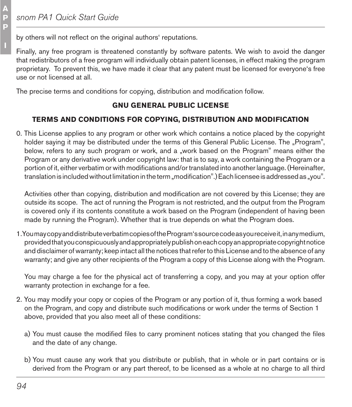by others will not reflect on the original authors' reputations.

Finally, any free program is threatened constantly by software patents. We wish to avoid the danger that redistributors of a free program will individually obtain patent licenses, in effect making the program proprietary. To prevent this, we have made it clear that any patent must be licensed for everyone's free use or not licensed at all.

The precise terms and conditions for copying, distribution and modification follow.

#### **GNU GENERAL PUBLIC LICENSE**

#### **TERMS AND CONDITIONS FOR COPYING, DISTRIBUTION AND MODIFICATION**

0. This License applies to any program or other work which contains a notice placed by the copyright holder saying it may be distributed under the terms of this General Public License. The "Program", below, refers to any such program or work, and a "work based on the Program" means either the Program or any derivative work under copyright law: that is to say, a work containing the Program or a portion of it, either verbatim or with modifications and/or translated into another language. (Hereinafter, translation is included without limitation in the term "modification".) Each licensee is addressed as "you".

Activities other than copying, distribution and modification are not covered by this License; they are outside its scope. The act of running the Program is not restricted, and the output from the Program is covered only if its contents constitute a work based on the Program (independent of having been made by running the Program). Whether that is true depends on what the Program does.

1.You may copy and distribute verbatim copies of the Program's source code as you receive it, in any medium, provided that you conspicuously and appropriately publish on each copy an appropriate copyright notice and disclaimer of warranty; keep intact all the notices that refer to this License and to the absence of any warranty; and give any other recipients of the Program a copy of this License along with the Program.

You may charge a fee for the physical act of transferring a copy, and you may at your option offer warranty protection in exchange for a fee.

- 2. You may modify your copy or copies of the Program or any portion of it, thus forming a work based on the Program, and copy and distribute such modifications or work under the terms of Section 1 above, provided that you also meet all of these conditions:
	- a) You must cause the modified files to carry prominent notices stating that you changed the files and the date of any change.
	- b) You must cause any work that you distribute or publish, that in whole or in part contains or is derived from the Program or any part thereof, to be licensed as a whole at no charge to all third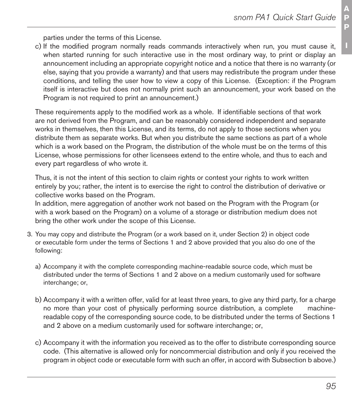**A P P I**

parties under the terms of this License.

c) If the modified program normally reads commands interactively when run, you must cause it, when started running for such interactive use in the most ordinary way, to print or display an announcement including an appropriate copyright notice and a notice that there is no warranty (or else, saying that you provide a warranty) and that users may redistribute the program under these conditions, and telling the user how to view a copy of this License. (Exception: if the Program itself is interactive but does not normally print such an announcement, your work based on the Program is not required to print an announcement.)

These requirements apply to the modified work as a whole. If identifiable sections of that work are not derived from the Program, and can be reasonably considered independent and separate works in themselves, then this License, and its terms, do not apply to those sections when you distribute them as separate works. But when you distribute the same sections as part of a whole which is a work based on the Program, the distribution of the whole must be on the terms of this License, whose permissions for other licensees extend to the entire whole, and thus to each and every part regardless of who wrote it.

Thus, it is not the intent of this section to claim rights or contest your rights to work written entirely by you; rather, the intent is to exercise the right to control the distribution of derivative or collective works based on the Program.

In addition, mere aggregation of another work not based on the Program with the Program (or with a work based on the Program) on a volume of a storage or distribution medium does not bring the other work under the scope of this License.

- 3. You may copy and distribute the Program (or a work based on it, under Section 2) in object code or executable form under the terms of Sections 1 and 2 above provided that you also do one of the following:
	- a) Accompany it with the complete corresponding machine-readable source code, which must be distributed under the terms of Sections 1 and 2 above on a medium customarily used for software interchange; or,
	- b) Accompany it with a written offer, valid for at least three years, to give any third party, for a charge no more than your cost of physically performing source distribution, a complete machinereadable copy of the corresponding source code, to be distributed under the terms of Sections 1 and 2 above on a medium customarily used for software interchange; or,
	- c) Accompany it with the information you received as to the offer to distribute corresponding source code. (This alternative is allowed only for noncommercial distribution and only if you received the program in object code or executable form with such an offer, in accord with Subsection b above.)

*95*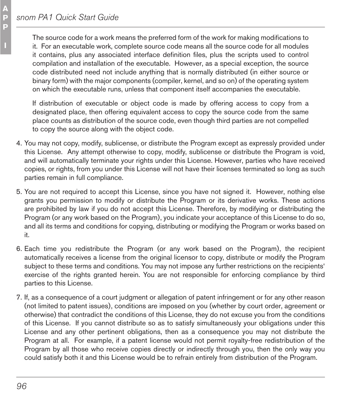**I**

The source code for a work means the preferred form of the work for making modifications to it. For an executable work, complete source code means all the source code for all modules it contains, plus any associated interface definition files, plus the scripts used to control compilation and installation of the executable. However, as a special exception, the source code distributed need not include anything that is normally distributed (in either source or binary form) with the major components (compiler, kernel, and so on) of the operating system on which the executable runs, unless that component itself accompanies the executable.

If distribution of executable or object code is made by offering access to copy from a designated place, then offering equivalent access to copy the source code from the same place counts as distribution of the source code, even though third parties are not compelled to copy the source along with the object code.

- 4. You may not copy, modify, sublicense, or distribute the Program except as expressly provided under this License. Any attempt otherwise to copy, modify, sublicense or distribute the Program is void, and will automatically terminate your rights under this License. However, parties who have received copies, or rights, from you under this License will not have their licenses terminated so long as such parties remain in full compliance.
- 5. You are not required to accept this License, since you have not signed it. However, nothing else grants you permission to modify or distribute the Program or its derivative works. These actions are prohibited by law if you do not accept this License. Therefore, by modifying or distributing the Program (or any work based on the Program), you indicate your acceptance of this License to do so, and all its terms and conditions for copying, distributing or modifying the Program or works based on it.
- 6. Each time you redistribute the Program (or any work based on the Program), the recipient automatically receives a license from the original licensor to copy, distribute or modify the Program subject to these terms and conditions. You may not impose any further restrictions on the recipients' exercise of the rights granted herein. You are not responsible for enforcing compliance by third parties to this License.
- 7. If, as a consequence of a court judgment or allegation of patent infringement or for any other reason (not limited to patent issues), conditions are imposed on you (whether by court order, agreement or otherwise) that contradict the conditions of this License, they do not excuse you from the conditions of this License. If you cannot distribute so as to satisfy simultaneously your obligations under this License and any other pertinent obligations, then as a consequence you may not distribute the Program at all. For example, if a patent license would not permit royalty-free redistribution of the Program by all those who receive copies directly or indirectly through you, then the only way you could satisfy both it and this License would be to refrain entirely from distribution of the Program.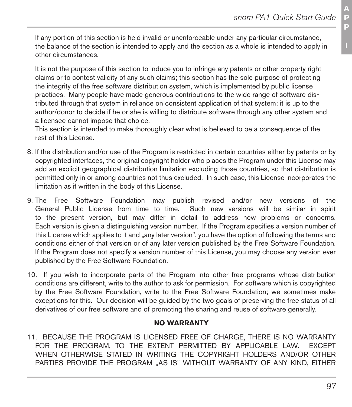It is not the purpose of this section to induce you to infringe any patents or other property right claims or to contest validity of any such claims; this section has the sole purpose of protecting the integrity of the free software distribution system, which is implemented by public license practices. Many people have made generous contributions to the wide range of software distributed through that system in reliance on consistent application of that system; it is up to the author/donor to decide if he or she is willing to distribute software through any other system and a licensee cannot impose that choice.

This section is intended to make thoroughly clear what is believed to be a consequence of the rest of this License.

- 8. If the distribution and/or use of the Program is restricted in certain countries either by patents or by copyrighted interfaces, the original copyright holder who places the Program under this License may add an explicit geographical distribution limitation excluding those countries, so that distribution is permitted only in or among countries not thus excluded. In such case, this License incorporates the limitation as if written in the body of this License.
- 9. The Free Software Foundation may publish revised and/or new versions of the General Public License from time to time. Such new versions will be similar in spirit to the present version, but may differ in detail to address new problems or concerns. Each version is given a distinguishing version number. If the Program specifies a version number of this License which applies to it and "any later version", you have the option of following the terms and conditions either of that version or of any later version published by the Free Software Foundation. If the Program does not specify a version number of this License, you may choose any version ever published by the Free Software Foundation.
- 10. If you wish to incorporate parts of the Program into other free programs whose distribution conditions are different, write to the author to ask for permission. For software which is copyrighted by the Free Software Foundation, write to the Free Software Foundation; we sometimes make exceptions for this. Our decision will be guided by the two goals of preserving the free status of all derivatives of our free software and of promoting the sharing and reuse of software generally.

#### **NO WARRANTY**

11. BECAUSE THE PROGRAM IS LICENSED FREE OF CHARGE, THERE IS NO WARRANTY FOR THE PROGRAM, TO THE EXTENT PERMITTED BY APPLICABLE LAW. EXCEPT WHEN OTHERWISE STATED IN WRITING THE COPYRIGHT HOLDERS AND/OR OTHER PARTIES PROVIDE THE PROGRAM ..AS IS" WITHOUT WARRANTY OF ANY KIND, EITHER

**A P**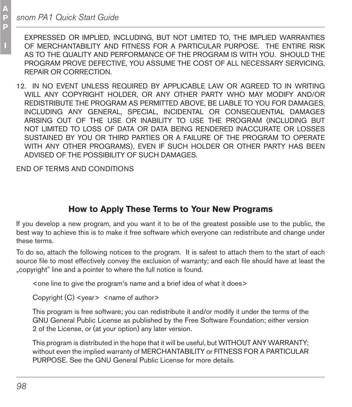EXPRESSED OR IMPLIED, INCLUDING, BUT NOT LIMITED TO, THE IMPLIED WARRANTIES OF MERCHANTABILITY AND FITNESS FOR A PARTICULAR PURPOSE. THE ENTIRE RISK AS TO THE QUALITY AND PERFORMANCE OF THE PROGRAM IS WITH YOU. SHOULD THE PROGRAM PROVE DEFECTIVE, YOU ASSUME THE COST OF ALL NECESSARY SERVICING, REPAIR OR CORRECTION.

12. IN NO EVENT UNLESS REQUIRED BY APPLICABLE LAW OR AGREED TO IN WRITING WILL ANY COPYRIGHT HOLDER, OR ANY OTHER PARTY WHO MAY MODIFY AND/OR REDISTRIBUTE THE PROGRAM AS PERMITTED ABOVE, BE LIABLE TO YOU FOR DAMAGES, INCLUDING ANY GENERAL, SPECIAL, INCIDENTAL OR CONSEQUENTIAL DAMAGES ARISING OUT OF THE USE OR INABILITY TO USE THE PROGRAM (INCLUDING BUT NOT LIMITED TO LOSS OF DATA OR DATA BEING RENDERED INACCURATE OR LOSSES SUSTAINED BY YOU OR THIRD PARTIES OR A FAILURE OF THE PROGRAM TO OPERATE WITH ANY OTHER PROGRAMS). EVEN IF SUCH HOLDER OR OTHER PARTY HAS BEEN ADVISED OF THE POSSIBILITY OF SUCH DAMAGES.

END OF TERMS AND CONDITIONS

#### **How to Apply These Terms to Your New Programs**

If you develop a new program, and you want it to be of the greatest possible use to the public, the best way to achieve this is to make it free software which everyone can redistribute and change under these terms.

To do so, attach the following notices to the program. It is safest to attach them to the start of each source file to most effectively convey the exclusion of warranty; and each file should have at least the ..copyright" line and a pointer to where the full notice is found.

<one line to give the program's name and a brief idea of what it does>

Copyright  $(C)$  <year> <name of author>

This program is free software; you can redistribute it and/or modify it under the terms of the GNU General Public License as published by the Free Software Foundation; either version 2 of the License, or (at your option) any later version.

This program is distributed in the hope that it will be useful, but WITHOUT ANY WARRANTY; without even the implied warranty of MERCHANTABILITY or FITNESS FOR A PARTICULAR PURPOSE. See the GNU General Public License for more details.

**I**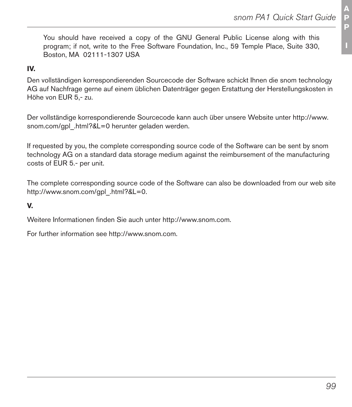You should have received a copy of the GNU General Public License along with this program; if not, write to the Free Software Foundation, Inc., 59 Temple Place, Suite 330, Boston, MA 02111-1307 USA

#### **IV.**

Den vollständigen korrespondierenden Sourcecode der Software schickt Ihnen die snom technology AG auf Nachfrage gerne auf einem üblichen Datenträger gegen Erstattung der Herstellungskosten in Höhe von EUR 5,- zu.

Der vollständige korrespondierende Sourcecode kann auch über unsere Website unter http://www. snom.com/gpl\_.html?&L=0 herunter geladen werden.

If requested by you, the complete corresponding source code of the Software can be sent by snom technology AG on a standard data storage medium against the reimbursement of the manufacturing costs of EUR 5.- per unit.

The complete corresponding source code of the Software can also be downloaded from our web site http://www.snom.com/qpl .html?&L=0.

#### **V.**

Weitere Informationen finden Sie auch unter http://www.snom.com.

For further information see http://www.snom.com.